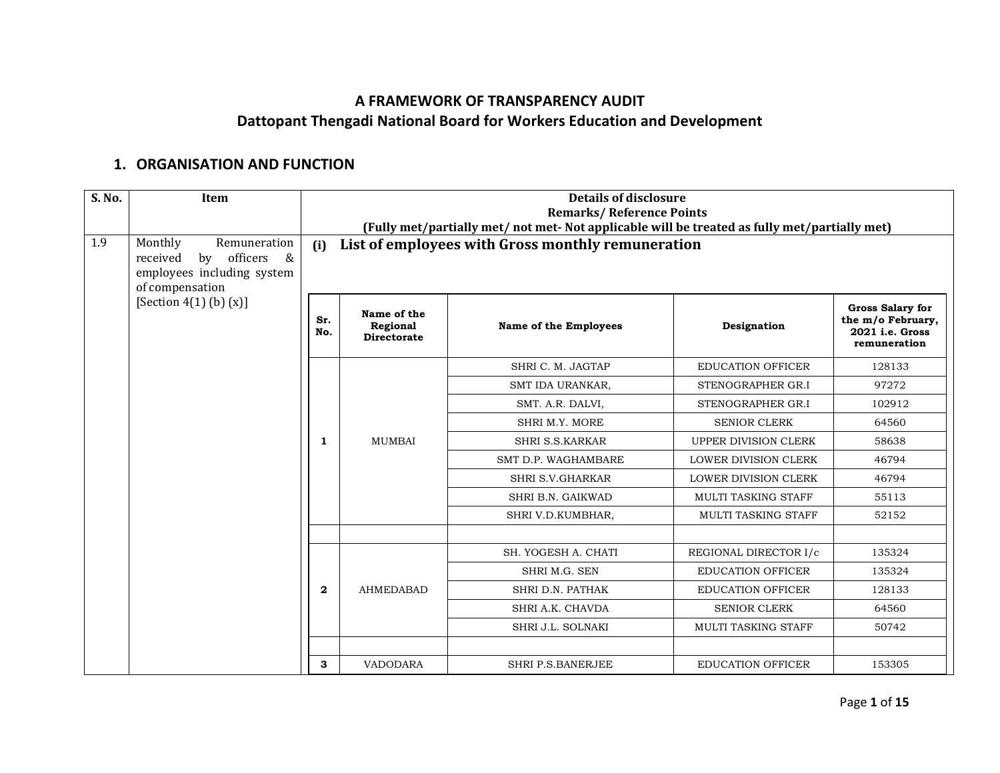## **A FRAMEWORK OF TRANSPARENCY AUDIT Dattopant Thengadi National Board for Workers Education and Development**

## **1. ORGANISATION AND FUNCTION**

| S. No. | Item                                                                                                        |              | <b>Details of disclosure</b><br><b>Remarks/Reference Points</b><br>(Fully met/partially met/ not met- Not applicable will be treated as fully met/partially met) |                                                   |                             |                                                                                 |  |
|--------|-------------------------------------------------------------------------------------------------------------|--------------|------------------------------------------------------------------------------------------------------------------------------------------------------------------|---------------------------------------------------|-----------------------------|---------------------------------------------------------------------------------|--|
| 1.9    | Monthly<br>Remuneration<br>by<br>officers<br>received<br>&<br>employees including system<br>of compensation | (i)          |                                                                                                                                                                  | List of employees with Gross monthly remuneration |                             |                                                                                 |  |
|        | [Section $4(1)$ (b) $(x)$ ]                                                                                 | Sr.<br>No.   | Name of the<br>Regional<br><b>Directorate</b>                                                                                                                    | <b>Name of the Employees</b>                      | Designation                 | <b>Gross Salary for</b><br>the m/o February,<br>2021 i.e. Gross<br>remuneration |  |
|        |                                                                                                             |              |                                                                                                                                                                  | SHRI C. M. JAGTAP                                 | <b>EDUCATION OFFICER</b>    | 128133                                                                          |  |
|        |                                                                                                             |              |                                                                                                                                                                  | SMT IDA URANKAR,                                  | STENOGRAPHER GR.I           | 97272                                                                           |  |
|        |                                                                                                             |              |                                                                                                                                                                  | SMT. A.R. DALVI,                                  | STENOGRAPHER GR.I           | 102912                                                                          |  |
|        |                                                                                                             |              |                                                                                                                                                                  | SHRI M.Y. MORE                                    | <b>SENIOR CLERK</b>         | 64560                                                                           |  |
|        |                                                                                                             | 1            | <b>MUMBAI</b>                                                                                                                                                    | <b>SHRI S.S.KARKAR</b>                            | UPPER DIVISION CLERK        | 58638                                                                           |  |
|        |                                                                                                             |              |                                                                                                                                                                  | SMT D.P. WAGHAMBARE                               | <b>LOWER DIVISION CLERK</b> | 46794                                                                           |  |
|        |                                                                                                             |              |                                                                                                                                                                  | SHRI S.V.GHARKAR                                  | <b>LOWER DIVISION CLERK</b> | 46794                                                                           |  |
|        |                                                                                                             |              |                                                                                                                                                                  | SHRI B.N. GAIKWAD                                 | <b>MULTI TASKING STAFF</b>  | 55113                                                                           |  |
|        |                                                                                                             |              |                                                                                                                                                                  | SHRI V.D.KUMBHAR,                                 | <b>MULTI TASKING STAFF</b>  | 52152                                                                           |  |
|        |                                                                                                             |              |                                                                                                                                                                  |                                                   |                             |                                                                                 |  |
|        |                                                                                                             |              |                                                                                                                                                                  | SH. YOGESH A. CHATI                               | REGIONAL DIRECTOR I/c       | 135324                                                                          |  |
|        |                                                                                                             |              |                                                                                                                                                                  | SHRI M.G. SEN                                     | <b>EDUCATION OFFICER</b>    | 135324                                                                          |  |
|        |                                                                                                             | $\mathbf{2}$ | <b>AHMEDABAD</b>                                                                                                                                                 | SHRI D.N. PATHAK                                  | <b>EDUCATION OFFICER</b>    | 128133                                                                          |  |
|        |                                                                                                             |              |                                                                                                                                                                  | SHRI A.K. CHAVDA                                  | <b>SENIOR CLERK</b>         | 64560                                                                           |  |
|        |                                                                                                             |              |                                                                                                                                                                  | SHRI J.L. SOLNAKI                                 | MULTI TASKING STAFF         | 50742                                                                           |  |
|        |                                                                                                             |              |                                                                                                                                                                  |                                                   |                             |                                                                                 |  |
|        |                                                                                                             | 3            | <b>VADODARA</b>                                                                                                                                                  | SHRI P.S.BANERJEE                                 | <b>EDUCATION OFFICER</b>    | 153305                                                                          |  |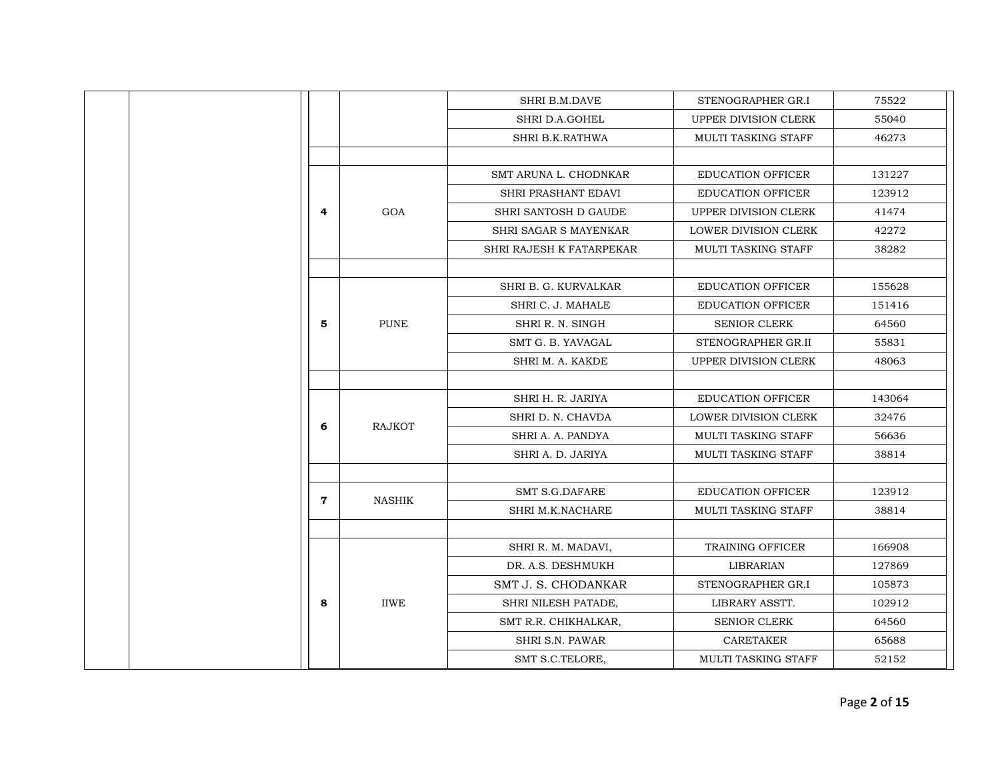|             |               | SHRI B.M.DAVE            | STENOGRAPHER GR.I           | 75522  |
|-------------|---------------|--------------------------|-----------------------------|--------|
|             |               | SHRI D.A.GOHEL           | UPPER DIVISION CLERK        | 55040  |
|             |               | SHRI B.K.RATHWA          | MULTI TASKING STAFF         | 46273  |
|             |               |                          |                             |        |
|             |               | SMT ARUNA L. CHODNKAR    | EDUCATION OFFICER           | 131227 |
|             |               | SHRI PRASHANT EDAVI      | <b>EDUCATION OFFICER</b>    | 123912 |
| 4           | GOA           | SHRI SANTOSH D GAUDE     | UPPER DIVISION CLERK        | 41474  |
|             |               | SHRI SAGAR S MAYENKAR    | LOWER DIVISION CLERK        | 42272  |
|             |               | SHRI RAJESH K FATARPEKAR | MULTI TASKING STAFF         | 38282  |
|             |               |                          |                             |        |
|             |               | SHRI B. G. KURVALKAR     | <b>EDUCATION OFFICER</b>    | 155628 |
|             |               | SHRI C. J. MAHALE        | <b>EDUCATION OFFICER</b>    | 151416 |
| 5           | <b>PUNE</b>   | SHRI R. N. SINGH         | <b>SENIOR CLERK</b>         | 64560  |
|             |               | SMT G. B. YAVAGAL        | STENOGRAPHER GR.II          | 55831  |
|             |               | SHRI M. A. KAKDE         | UPPER DIVISION CLERK        | 48063  |
|             |               |                          |                             |        |
|             |               | SHRI H. R. JARIYA        | <b>EDUCATION OFFICER</b>    | 143064 |
| 6           | <b>RAJKOT</b> | SHRI D. N. CHAVDA        | <b>LOWER DIVISION CLERK</b> | 32476  |
|             |               | SHRI A. A. PANDYA        | MULTI TASKING STAFF         | 56636  |
|             |               | SHRI A. D. JARIYA        | MULTI TASKING STAFF         | 38814  |
|             |               | <b>SMT S.G.DAFARE</b>    | <b>EDUCATION OFFICER</b>    | 123912 |
| $\mathbf 7$ | <b>NASHIK</b> | SHRI M.K.NACHARE         | MULTI TASKING STAFF         | 38814  |
|             |               |                          |                             |        |
|             |               | SHRI R. M. MADAVI,       | TRAINING OFFICER            | 166908 |
|             |               | DR. A.S. DESHMUKH        | <b>LIBRARIAN</b>            | 127869 |
|             |               | SMT J. S. CHODANKAR      | STENOGRAPHER GR.I           | 105873 |
| 8           | <b>IIWE</b>   | SHRI NILESH PATADE,      | LIBRARY ASSTT.              | 102912 |
|             |               | SMT R.R. CHIKHALKAR,     | SENIOR CLERK                | 64560  |
|             |               | SHRI S.N. PAWAR          | <b>CARETAKER</b>            | 65688  |
|             |               | SMT S.C.TELORE,          | <b>MULTI TASKING STAFF</b>  | 52152  |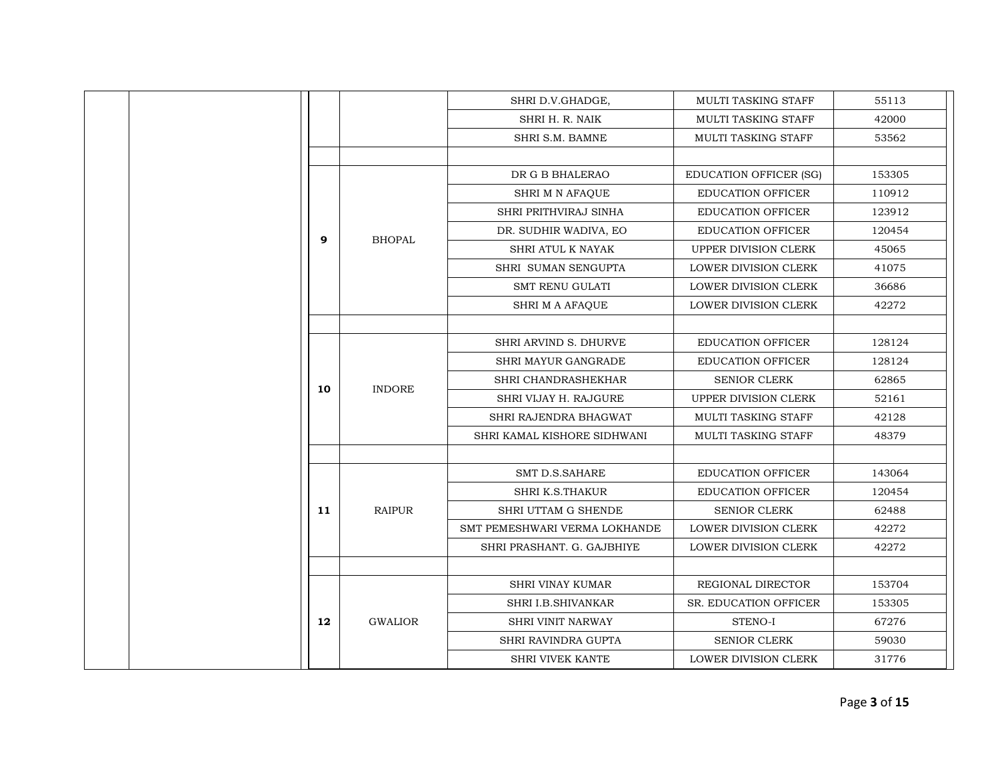|    |                | SHRI D.V.GHADGE,              | MULTI TASKING STAFF           | 55113  |
|----|----------------|-------------------------------|-------------------------------|--------|
|    |                | SHRI H. R. NAIK               | MULTI TASKING STAFF           | 42000  |
|    |                | SHRI S.M. BAMNE               | MULTI TASKING STAFF           | 53562  |
|    |                |                               |                               |        |
|    |                | DR G B BHALERAO               | <b>EDUCATION OFFICER (SG)</b> | 153305 |
|    |                | SHRI M N AFAQUE               | EDUCATION OFFICER             | 110912 |
|    |                | SHRI PRITHVIRAJ SINHA         | <b>EDUCATION OFFICER</b>      | 123912 |
| 9  | <b>BHOPAL</b>  | DR. SUDHIR WADIVA, EO         | <b>EDUCATION OFFICER</b>      | 120454 |
|    |                | SHRI ATUL K NAYAK             | UPPER DIVISION CLERK          | 45065  |
|    |                | SHRI SUMAN SENGUPTA           | LOWER DIVISION CLERK          | 41075  |
|    |                | <b>SMT RENU GULATI</b>        | <b>LOWER DIVISION CLERK</b>   | 36686  |
|    |                | SHRI M A AFAQUE               | LOWER DIVISION CLERK          | 42272  |
|    |                |                               |                               |        |
|    |                | <b>SHRI ARVIND S. DHURVE</b>  | <b>EDUCATION OFFICER</b>      | 128124 |
|    |                | SHRI MAYUR GANGRADE           | <b>EDUCATION OFFICER</b>      | 128124 |
|    |                | SHRI CHANDRASHEKHAR           | <b>SENIOR CLERK</b>           | 62865  |
| 10 | <b>INDORE</b>  | SHRI VIJAY H. RAJGURE         | <b>UPPER DIVISION CLERK</b>   | 52161  |
|    |                | SHRI RAJENDRA BHAGWAT         | <b>MULTI TASKING STAFF</b>    | 42128  |
|    |                | SHRI KAMAL KISHORE SIDHWANI   | MULTI TASKING STAFF           | 48379  |
|    |                |                               |                               |        |
|    |                | <b>SMT D.S.SAHARE</b>         | <b>EDUCATION OFFICER</b>      | 143064 |
|    |                | <b>SHRI K.S.THAKUR</b>        | <b>EDUCATION OFFICER</b>      | 120454 |
| 11 | <b>RAIPUR</b>  | SHRI UTTAM G SHENDE           | <b>SENIOR CLERK</b>           | 62488  |
|    |                | SMT PEMESHWARI VERMA LOKHANDE | LOWER DIVISION CLERK          | 42272  |
|    |                | SHRI PRASHANT, G. GAJBHIYE    | LOWER DIVISION CLERK          | 42272  |
|    |                |                               |                               |        |
|    |                | <b>SHRI VINAY KUMAR</b>       | REGIONAL DIRECTOR             | 153704 |
|    |                | SHRI I.B.SHIVANKAR            | SR. EDUCATION OFFICER         | 153305 |
| 12 | <b>GWALIOR</b> | <b>SHRI VINIT NARWAY</b>      | STENO-I                       | 67276  |
|    |                | SHRI RAVINDRA GUPTA           | <b>SENIOR CLERK</b>           | 59030  |
|    |                | <b>SHRI VIVEK KANTE</b>       | <b>LOWER DIVISION CLERK</b>   | 31776  |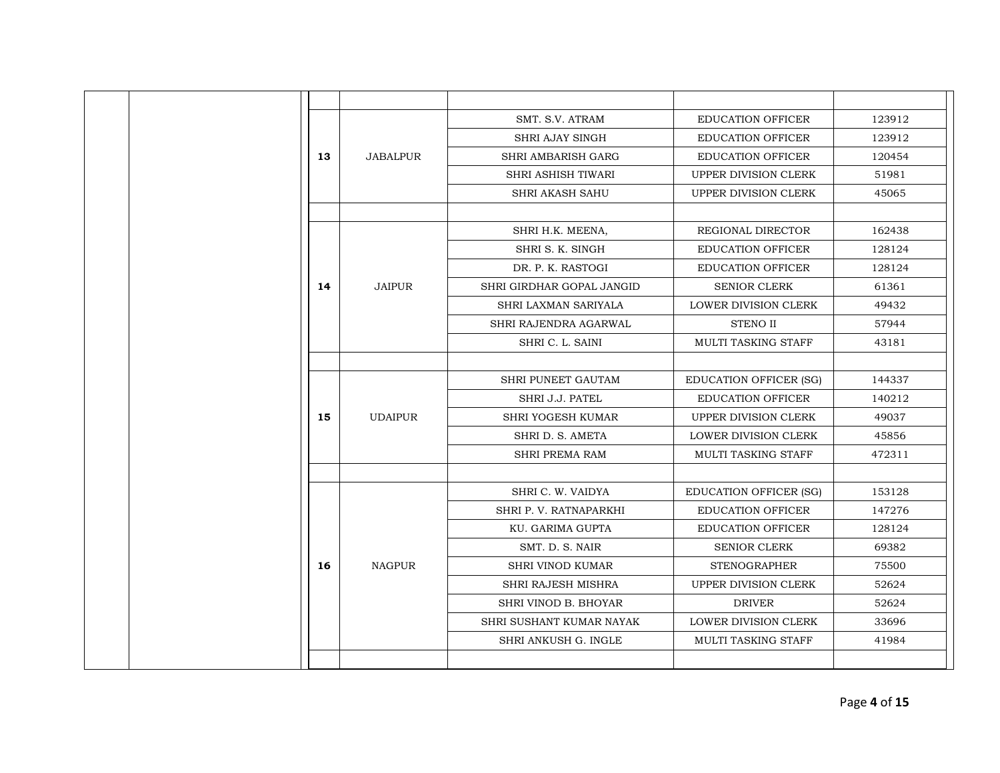|    |                 | SMT. S.V. ATRAM           | <b>EDUCATION OFFICER</b>      | 123912 |
|----|-----------------|---------------------------|-------------------------------|--------|
|    |                 | <b>SHRI AJAY SINGH</b>    | <b>EDUCATION OFFICER</b>      | 123912 |
| 13 | <b>JABALPUR</b> | <b>SHRI AMBARISH GARG</b> | <b>EDUCATION OFFICER</b>      | 120454 |
|    |                 | SHRI ASHISH TIWARI        | UPPER DIVISION CLERK          | 51981  |
|    |                 | <b>SHRI AKASH SAHU</b>    | UPPER DIVISION CLERK          | 45065  |
|    |                 |                           |                               |        |
|    |                 | SHRI H.K. MEENA,          | REGIONAL DIRECTOR             | 162438 |
|    |                 | SHRI S. K. SINGH          | <b>EDUCATION OFFICER</b>      | 128124 |
|    |                 | DR. P. K. RASTOGI         | <b>EDUCATION OFFICER</b>      | 128124 |
| 14 | <b>JAIPUR</b>   | SHRI GIRDHAR GOPAL JANGID | <b>SENIOR CLERK</b>           | 61361  |
|    |                 | SHRI LAXMAN SARIYALA      | <b>LOWER DIVISION CLERK</b>   | 49432  |
|    |                 | SHRI RAJENDRA AGARWAL     | <b>STENO II</b>               | 57944  |
|    |                 | SHRI C. L. SAINI          | <b>MULTI TASKING STAFF</b>    | 43181  |
|    |                 |                           |                               |        |
|    |                 | SHRI PUNEET GAUTAM        | <b>EDUCATION OFFICER (SG)</b> | 144337 |
|    |                 | SHRI J.J. PATEL           | <b>EDUCATION OFFICER</b>      | 140212 |
| 15 | <b>UDAIPUR</b>  | SHRI YOGESH KUMAR         | UPPER DIVISION CLERK          | 49037  |
|    |                 | SHRI D. S. AMETA          | <b>LOWER DIVISION CLERK</b>   | 45856  |
|    |                 | <b>SHRI PREMA RAM</b>     | <b>MULTI TASKING STAFF</b>    | 472311 |
|    |                 |                           |                               |        |
|    |                 | SHRI C. W. VAIDYA         | <b>EDUCATION OFFICER (SG)</b> | 153128 |
|    |                 | SHRI P. V. RATNAPARKHI    | EDUCATION OFFICER             | 147276 |
|    |                 | KU. GARIMA GUPTA          | <b>EDUCATION OFFICER</b>      | 128124 |
|    |                 | SMT. D. S. NAIR           | <b>SENIOR CLERK</b>           | 69382  |
| 16 | <b>NAGPUR</b>   | <b>SHRI VINOD KUMAR</b>   | <b>STENOGRAPHER</b>           | 75500  |
|    |                 | <b>SHRI RAJESH MISHRA</b> | UPPER DIVISION CLERK          | 52624  |
|    |                 | SHRI VINOD B. BHOYAR      | <b>DRIVER</b>                 | 52624  |
|    |                 | SHRI SUSHANT KUMAR NAYAK  | <b>LOWER DIVISION CLERK</b>   | 33696  |
|    |                 | SHRI ANKUSH G. INGLE      | <b>MULTI TASKING STAFF</b>    | 41984  |
|    |                 |                           |                               |        |
|    |                 |                           |                               |        |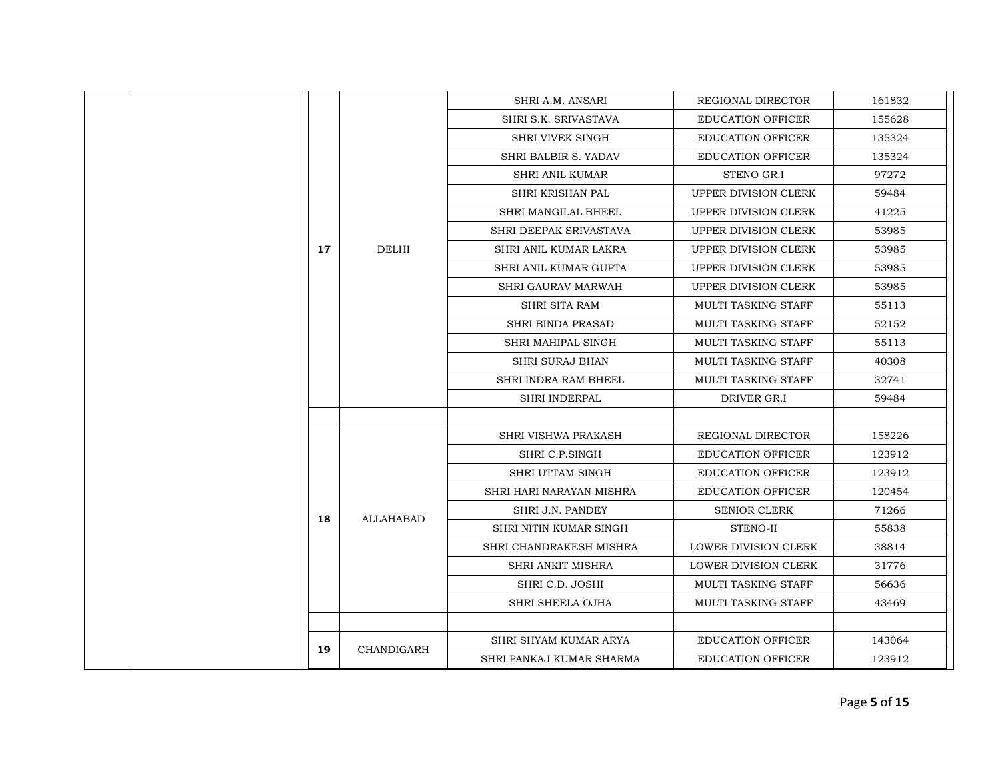| SHRI A.M. ANSARI<br>REGIONAL DIRECTOR<br>161832<br>SHRI S.K. SRIVASTAVA<br>155628<br><b>EDUCATION OFFICER</b><br><b>SHRI VIVEK SINGH</b><br><b>EDUCATION OFFICER</b><br>135324<br>SHRI BALBIR S. YADAV<br><b>EDUCATION OFFICER</b><br>135324<br>97272<br><b>SHRI ANIL KUMAR</b><br>STENO GR.I<br>UPPER DIVISION CLERK<br>59484<br>SHRI KRISHAN PAL<br>SHRI MANGILAL BHEEL<br><b>UPPER DIVISION CLERK</b><br>41225<br>UPPER DIVISION CLERK<br>53985<br>SHRI DEEPAK SRIVASTAVA<br><b>DELHI</b><br>17<br>SHRI ANIL KUMAR LAKRA<br>UPPER DIVISION CLERK<br>53985<br>53985<br>SHRI ANIL KUMAR GUPTA<br>UPPER DIVISION CLERK<br><b>SHRI GAURAV MARWAH</b><br>UPPER DIVISION CLERK<br>53985<br>SHRI SITA RAM<br>MULTI TASKING STAFF<br>55113<br><b>SHRI BINDA PRASAD</b><br><b>MULTI TASKING STAFF</b><br>52152<br>SHRI MAHIPAL SINGH<br><b>MULTI TASKING STAFF</b><br>55113<br>MULTI TASKING STAFF<br>40308<br>SHRI SURAJ BHAN<br><b>SHRI INDRA RAM BHEEL</b><br><b>MULTI TASKING STAFF</b><br>32741<br>DRIVER GR.I<br><b>SHRI INDERPAL</b><br>59484<br>SHRI VISHWA PRAKASH<br>REGIONAL DIRECTOR<br>158226<br>123912<br>SHRI C.P.SINGH<br><b>EDUCATION OFFICER</b><br>SHRI UTTAM SINGH<br><b>EDUCATION OFFICER</b><br>123912<br>SHRI HARI NARAYAN MISHRA<br><b>EDUCATION OFFICER</b><br>120454<br>SHRI J.N. PANDEY<br><b>SENIOR CLERK</b><br>71266<br>18<br><b>ALLAHABAD</b><br>SHRI NITIN KUMAR SINGH<br>STENO-II<br>55838<br>SHRI CHANDRAKESH MISHRA<br><b>LOWER DIVISION CLERK</b><br>38814<br>SHRI ANKIT MISHRA<br>LOWER DIVISION CLERK<br>31776<br>SHRI C.D. JOSHI<br>MULTI TASKING STAFF<br>56636<br>SHRI SHEELA OJHA<br>MULTI TASKING STAFF<br>43469<br>SHRI SHYAM KUMAR ARYA<br><b>EDUCATION OFFICER</b><br>143064<br>19<br>CHANDIGARH<br><b>EDUCATION OFFICER</b><br>123912<br>SHRI PANKAJ KUMAR SHARMA |  |  |  |  |  |  |
|------------------------------------------------------------------------------------------------------------------------------------------------------------------------------------------------------------------------------------------------------------------------------------------------------------------------------------------------------------------------------------------------------------------------------------------------------------------------------------------------------------------------------------------------------------------------------------------------------------------------------------------------------------------------------------------------------------------------------------------------------------------------------------------------------------------------------------------------------------------------------------------------------------------------------------------------------------------------------------------------------------------------------------------------------------------------------------------------------------------------------------------------------------------------------------------------------------------------------------------------------------------------------------------------------------------------------------------------------------------------------------------------------------------------------------------------------------------------------------------------------------------------------------------------------------------------------------------------------------------------------------------------------------------------------------------------------------------------------------------------------------------------------------------------------------|--|--|--|--|--|--|
|                                                                                                                                                                                                                                                                                                                                                                                                                                                                                                                                                                                                                                                                                                                                                                                                                                                                                                                                                                                                                                                                                                                                                                                                                                                                                                                                                                                                                                                                                                                                                                                                                                                                                                                                                                                                            |  |  |  |  |  |  |
|                                                                                                                                                                                                                                                                                                                                                                                                                                                                                                                                                                                                                                                                                                                                                                                                                                                                                                                                                                                                                                                                                                                                                                                                                                                                                                                                                                                                                                                                                                                                                                                                                                                                                                                                                                                                            |  |  |  |  |  |  |
|                                                                                                                                                                                                                                                                                                                                                                                                                                                                                                                                                                                                                                                                                                                                                                                                                                                                                                                                                                                                                                                                                                                                                                                                                                                                                                                                                                                                                                                                                                                                                                                                                                                                                                                                                                                                            |  |  |  |  |  |  |
|                                                                                                                                                                                                                                                                                                                                                                                                                                                                                                                                                                                                                                                                                                                                                                                                                                                                                                                                                                                                                                                                                                                                                                                                                                                                                                                                                                                                                                                                                                                                                                                                                                                                                                                                                                                                            |  |  |  |  |  |  |
|                                                                                                                                                                                                                                                                                                                                                                                                                                                                                                                                                                                                                                                                                                                                                                                                                                                                                                                                                                                                                                                                                                                                                                                                                                                                                                                                                                                                                                                                                                                                                                                                                                                                                                                                                                                                            |  |  |  |  |  |  |
|                                                                                                                                                                                                                                                                                                                                                                                                                                                                                                                                                                                                                                                                                                                                                                                                                                                                                                                                                                                                                                                                                                                                                                                                                                                                                                                                                                                                                                                                                                                                                                                                                                                                                                                                                                                                            |  |  |  |  |  |  |
|                                                                                                                                                                                                                                                                                                                                                                                                                                                                                                                                                                                                                                                                                                                                                                                                                                                                                                                                                                                                                                                                                                                                                                                                                                                                                                                                                                                                                                                                                                                                                                                                                                                                                                                                                                                                            |  |  |  |  |  |  |
|                                                                                                                                                                                                                                                                                                                                                                                                                                                                                                                                                                                                                                                                                                                                                                                                                                                                                                                                                                                                                                                                                                                                                                                                                                                                                                                                                                                                                                                                                                                                                                                                                                                                                                                                                                                                            |  |  |  |  |  |  |
|                                                                                                                                                                                                                                                                                                                                                                                                                                                                                                                                                                                                                                                                                                                                                                                                                                                                                                                                                                                                                                                                                                                                                                                                                                                                                                                                                                                                                                                                                                                                                                                                                                                                                                                                                                                                            |  |  |  |  |  |  |
|                                                                                                                                                                                                                                                                                                                                                                                                                                                                                                                                                                                                                                                                                                                                                                                                                                                                                                                                                                                                                                                                                                                                                                                                                                                                                                                                                                                                                                                                                                                                                                                                                                                                                                                                                                                                            |  |  |  |  |  |  |
|                                                                                                                                                                                                                                                                                                                                                                                                                                                                                                                                                                                                                                                                                                                                                                                                                                                                                                                                                                                                                                                                                                                                                                                                                                                                                                                                                                                                                                                                                                                                                                                                                                                                                                                                                                                                            |  |  |  |  |  |  |
|                                                                                                                                                                                                                                                                                                                                                                                                                                                                                                                                                                                                                                                                                                                                                                                                                                                                                                                                                                                                                                                                                                                                                                                                                                                                                                                                                                                                                                                                                                                                                                                                                                                                                                                                                                                                            |  |  |  |  |  |  |
|                                                                                                                                                                                                                                                                                                                                                                                                                                                                                                                                                                                                                                                                                                                                                                                                                                                                                                                                                                                                                                                                                                                                                                                                                                                                                                                                                                                                                                                                                                                                                                                                                                                                                                                                                                                                            |  |  |  |  |  |  |
|                                                                                                                                                                                                                                                                                                                                                                                                                                                                                                                                                                                                                                                                                                                                                                                                                                                                                                                                                                                                                                                                                                                                                                                                                                                                                                                                                                                                                                                                                                                                                                                                                                                                                                                                                                                                            |  |  |  |  |  |  |
|                                                                                                                                                                                                                                                                                                                                                                                                                                                                                                                                                                                                                                                                                                                                                                                                                                                                                                                                                                                                                                                                                                                                                                                                                                                                                                                                                                                                                                                                                                                                                                                                                                                                                                                                                                                                            |  |  |  |  |  |  |
|                                                                                                                                                                                                                                                                                                                                                                                                                                                                                                                                                                                                                                                                                                                                                                                                                                                                                                                                                                                                                                                                                                                                                                                                                                                                                                                                                                                                                                                                                                                                                                                                                                                                                                                                                                                                            |  |  |  |  |  |  |
|                                                                                                                                                                                                                                                                                                                                                                                                                                                                                                                                                                                                                                                                                                                                                                                                                                                                                                                                                                                                                                                                                                                                                                                                                                                                                                                                                                                                                                                                                                                                                                                                                                                                                                                                                                                                            |  |  |  |  |  |  |
|                                                                                                                                                                                                                                                                                                                                                                                                                                                                                                                                                                                                                                                                                                                                                                                                                                                                                                                                                                                                                                                                                                                                                                                                                                                                                                                                                                                                                                                                                                                                                                                                                                                                                                                                                                                                            |  |  |  |  |  |  |
|                                                                                                                                                                                                                                                                                                                                                                                                                                                                                                                                                                                                                                                                                                                                                                                                                                                                                                                                                                                                                                                                                                                                                                                                                                                                                                                                                                                                                                                                                                                                                                                                                                                                                                                                                                                                            |  |  |  |  |  |  |
|                                                                                                                                                                                                                                                                                                                                                                                                                                                                                                                                                                                                                                                                                                                                                                                                                                                                                                                                                                                                                                                                                                                                                                                                                                                                                                                                                                                                                                                                                                                                                                                                                                                                                                                                                                                                            |  |  |  |  |  |  |
|                                                                                                                                                                                                                                                                                                                                                                                                                                                                                                                                                                                                                                                                                                                                                                                                                                                                                                                                                                                                                                                                                                                                                                                                                                                                                                                                                                                                                                                                                                                                                                                                                                                                                                                                                                                                            |  |  |  |  |  |  |
|                                                                                                                                                                                                                                                                                                                                                                                                                                                                                                                                                                                                                                                                                                                                                                                                                                                                                                                                                                                                                                                                                                                                                                                                                                                                                                                                                                                                                                                                                                                                                                                                                                                                                                                                                                                                            |  |  |  |  |  |  |
|                                                                                                                                                                                                                                                                                                                                                                                                                                                                                                                                                                                                                                                                                                                                                                                                                                                                                                                                                                                                                                                                                                                                                                                                                                                                                                                                                                                                                                                                                                                                                                                                                                                                                                                                                                                                            |  |  |  |  |  |  |
|                                                                                                                                                                                                                                                                                                                                                                                                                                                                                                                                                                                                                                                                                                                                                                                                                                                                                                                                                                                                                                                                                                                                                                                                                                                                                                                                                                                                                                                                                                                                                                                                                                                                                                                                                                                                            |  |  |  |  |  |  |
|                                                                                                                                                                                                                                                                                                                                                                                                                                                                                                                                                                                                                                                                                                                                                                                                                                                                                                                                                                                                                                                                                                                                                                                                                                                                                                                                                                                                                                                                                                                                                                                                                                                                                                                                                                                                            |  |  |  |  |  |  |
|                                                                                                                                                                                                                                                                                                                                                                                                                                                                                                                                                                                                                                                                                                                                                                                                                                                                                                                                                                                                                                                                                                                                                                                                                                                                                                                                                                                                                                                                                                                                                                                                                                                                                                                                                                                                            |  |  |  |  |  |  |
|                                                                                                                                                                                                                                                                                                                                                                                                                                                                                                                                                                                                                                                                                                                                                                                                                                                                                                                                                                                                                                                                                                                                                                                                                                                                                                                                                                                                                                                                                                                                                                                                                                                                                                                                                                                                            |  |  |  |  |  |  |
|                                                                                                                                                                                                                                                                                                                                                                                                                                                                                                                                                                                                                                                                                                                                                                                                                                                                                                                                                                                                                                                                                                                                                                                                                                                                                                                                                                                                                                                                                                                                                                                                                                                                                                                                                                                                            |  |  |  |  |  |  |
|                                                                                                                                                                                                                                                                                                                                                                                                                                                                                                                                                                                                                                                                                                                                                                                                                                                                                                                                                                                                                                                                                                                                                                                                                                                                                                                                                                                                                                                                                                                                                                                                                                                                                                                                                                                                            |  |  |  |  |  |  |
|                                                                                                                                                                                                                                                                                                                                                                                                                                                                                                                                                                                                                                                                                                                                                                                                                                                                                                                                                                                                                                                                                                                                                                                                                                                                                                                                                                                                                                                                                                                                                                                                                                                                                                                                                                                                            |  |  |  |  |  |  |
|                                                                                                                                                                                                                                                                                                                                                                                                                                                                                                                                                                                                                                                                                                                                                                                                                                                                                                                                                                                                                                                                                                                                                                                                                                                                                                                                                                                                                                                                                                                                                                                                                                                                                                                                                                                                            |  |  |  |  |  |  |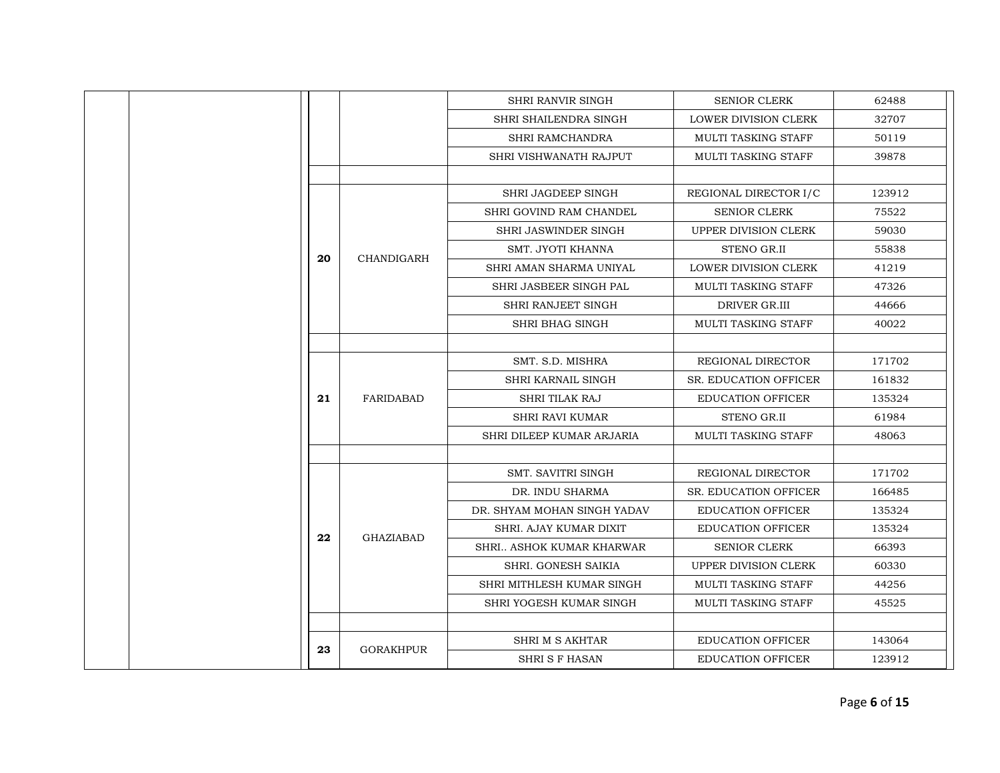|    |                   | <b>SHRI RANVIR SINGH</b>    | <b>SENIOR CLERK</b>          | 62488  |
|----|-------------------|-----------------------------|------------------------------|--------|
|    |                   | SHRI SHAILENDRA SINGH       | <b>LOWER DIVISION CLERK</b>  | 32707  |
|    |                   | SHRI RAMCHANDRA             | MULTI TASKING STAFF          | 50119  |
|    |                   | SHRI VISHWANATH RAJPUT      | <b>MULTI TASKING STAFF</b>   | 39878  |
|    |                   |                             |                              |        |
|    |                   | SHRI JAGDEEP SINGH          | REGIONAL DIRECTOR I/C        | 123912 |
|    |                   | SHRI GOVIND RAM CHANDEL     | <b>SENIOR CLERK</b>          | 75522  |
|    |                   | SHRI JASWINDER SINGH        | UPPER DIVISION CLERK         | 59030  |
|    |                   | SMT. JYOTI KHANNA           | STENO GR.II                  | 55838  |
| 20 | <b>CHANDIGARH</b> | SHRI AMAN SHARMA UNIYAL     | LOWER DIVISION CLERK         | 41219  |
|    |                   | SHRI JASBEER SINGH PAL      | <b>MULTI TASKING STAFF</b>   | 47326  |
|    |                   | <b>SHRI RANJEET SINGH</b>   | DRIVER GR.III                | 44666  |
|    |                   | SHRI BHAG SINGH             | <b>MULTI TASKING STAFF</b>   | 40022  |
|    |                   |                             |                              |        |
|    |                   | SMT. S.D. MISHRA            | REGIONAL DIRECTOR            | 171702 |
|    |                   | SHRI KARNAIL SINGH          | SR. EDUCATION OFFICER        | 161832 |
| 21 | FARIDABAD         | SHRI TILAK RAJ              | <b>EDUCATION OFFICER</b>     | 135324 |
|    |                   | <b>SHRI RAVI KUMAR</b>      | STENO GR.II                  | 61984  |
|    |                   | SHRI DILEEP KUMAR ARJARIA   | <b>MULTI TASKING STAFF</b>   | 48063  |
|    |                   |                             |                              |        |
|    |                   | <b>SMT. SAVITRI SINGH</b>   | REGIONAL DIRECTOR            | 171702 |
|    |                   | DR. INDU SHARMA             | <b>SR. EDUCATION OFFICER</b> | 166485 |
|    |                   | DR. SHYAM MOHAN SINGH YADAV | <b>EDUCATION OFFICER</b>     | 135324 |
| 22 | <b>GHAZIABAD</b>  | SHRI. AJAY KUMAR DIXIT      | <b>EDUCATION OFFICER</b>     | 135324 |
|    |                   | SHRI ASHOK KUMAR KHARWAR    | <b>SENIOR CLERK</b>          | 66393  |
|    |                   | SHRI. GONESH SAIKIA         | <b>UPPER DIVISION CLERK</b>  | 60330  |
|    |                   | SHRI MITHLESH KUMAR SINGH   | MULTI TASKING STAFF          | 44256  |
|    |                   | SHRI YOGESH KUMAR SINGH     | <b>MULTI TASKING STAFF</b>   | 45525  |
|    |                   |                             |                              |        |
| 23 | <b>GORAKHPUR</b>  | SHRI M S AKHTAR             | <b>EDUCATION OFFICER</b>     | 143064 |
|    |                   | <b>SHRI S F HASAN</b>       | <b>EDUCATION OFFICER</b>     | 123912 |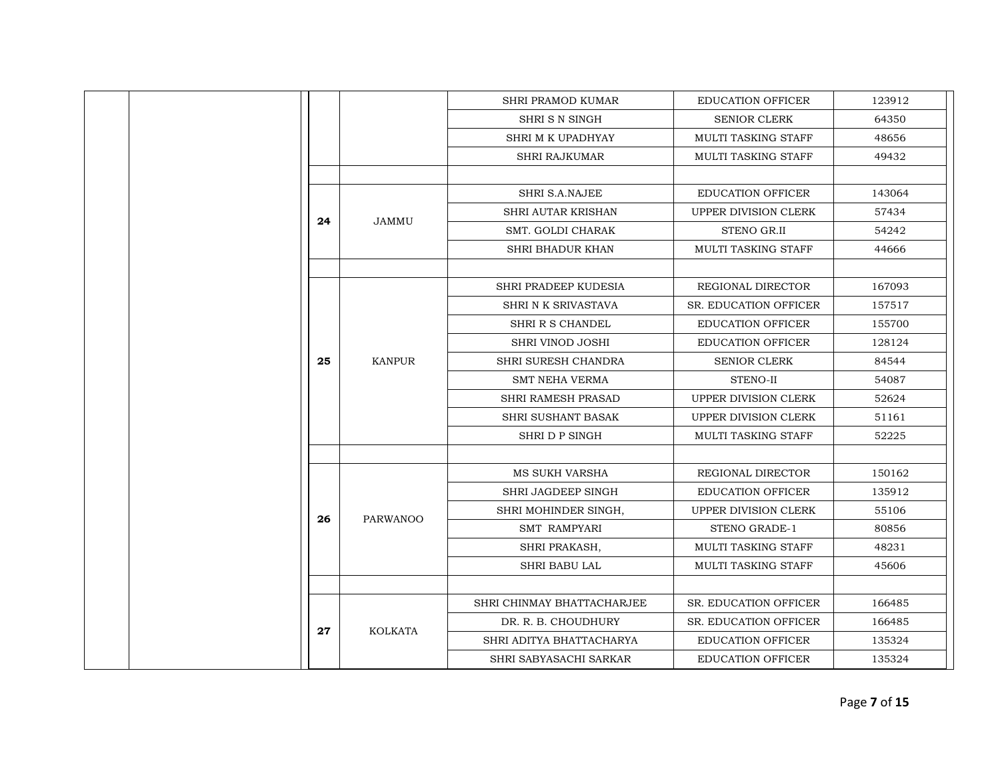| <b>SHRI PRAMOD KUMAR</b><br><b>EDUCATION OFFICER</b><br>123912<br>SHRISN SINGH<br><b>SENIOR CLERK</b><br>64350<br>SHRI M K UPADHYAY<br><b>MULTI TASKING STAFF</b><br>48656<br><b>MULTI TASKING STAFF</b><br>49432<br><b>SHRI RAJKUMAR</b><br>SHRI S.A.NAJEE<br>EDUCATION OFFICER<br>143064<br><b>SHRI AUTAR KRISHAN</b><br><b>UPPER DIVISION CLERK</b><br>57434<br>24<br>JAMMU<br>SMT. GOLDI CHARAK<br><b>STENO GR.II</b><br>54242<br>SHRI BHADUR KHAN<br><b>MULTI TASKING STAFF</b><br>44666<br>SHRI PRADEEP KUDESIA<br>REGIONAL DIRECTOR<br>167093<br>SHRI N K SRIVASTAVA<br><b>SR. EDUCATION OFFICER</b><br>157517<br>SHRI R S CHANDEL<br>155700<br><b>EDUCATION OFFICER</b><br><b>SHRI VINOD JOSHI</b><br>128124<br><b>EDUCATION OFFICER</b><br>84544<br>25<br><b>KANPUR</b><br>SHRI SURESH CHANDRA<br><b>SENIOR CLERK</b><br><b>SMT NEHA VERMA</b><br>STENO-II<br>54087<br><b>SHRI RAMESH PRASAD</b><br>UPPER DIVISION CLERK<br>52624<br>SHRI SUSHANT BASAK<br>UPPER DIVISION CLERK<br>51161<br>SHRI D P SINGH<br><b>MULTI TASKING STAFF</b><br>52225<br><b>MS SUKH VARSHA</b><br>REGIONAL DIRECTOR<br>150162<br>SHRI JAGDEEP SINGH<br><b>EDUCATION OFFICER</b><br>135912<br>SHRI MOHINDER SINGH,<br><b>UPPER DIVISION CLERK</b><br>55106<br>26<br><b>PARWANOO</b><br><b>SMT RAMPYARI</b><br>STENO GRADE-1<br>80856<br>48231<br>SHRI PRAKASH,<br>MULTI TASKING STAFF<br><b>SHRI BABU LAL</b><br><b>MULTI TASKING STAFF</b><br>45606<br>SHRI CHINMAY BHATTACHARJEE<br><b>SR. EDUCATION OFFICER</b><br>166485<br>DR. R. B. CHOUDHURY<br><b>SR. EDUCATION OFFICER</b><br>166485<br>27<br><b>KOLKATA</b><br>SHRI ADITYA BHATTACHARYA<br><b>EDUCATION OFFICER</b><br>135324<br><b>EDUCATION OFFICER</b><br>SHRI SABYASACHI SARKAR<br>135324 |  |  |  |
|---------------------------------------------------------------------------------------------------------------------------------------------------------------------------------------------------------------------------------------------------------------------------------------------------------------------------------------------------------------------------------------------------------------------------------------------------------------------------------------------------------------------------------------------------------------------------------------------------------------------------------------------------------------------------------------------------------------------------------------------------------------------------------------------------------------------------------------------------------------------------------------------------------------------------------------------------------------------------------------------------------------------------------------------------------------------------------------------------------------------------------------------------------------------------------------------------------------------------------------------------------------------------------------------------------------------------------------------------------------------------------------------------------------------------------------------------------------------------------------------------------------------------------------------------------------------------------------------------------------------------------------------------------------------------------------------------------------------------------------------|--|--|--|
|                                                                                                                                                                                                                                                                                                                                                                                                                                                                                                                                                                                                                                                                                                                                                                                                                                                                                                                                                                                                                                                                                                                                                                                                                                                                                                                                                                                                                                                                                                                                                                                                                                                                                                                                             |  |  |  |
|                                                                                                                                                                                                                                                                                                                                                                                                                                                                                                                                                                                                                                                                                                                                                                                                                                                                                                                                                                                                                                                                                                                                                                                                                                                                                                                                                                                                                                                                                                                                                                                                                                                                                                                                             |  |  |  |
|                                                                                                                                                                                                                                                                                                                                                                                                                                                                                                                                                                                                                                                                                                                                                                                                                                                                                                                                                                                                                                                                                                                                                                                                                                                                                                                                                                                                                                                                                                                                                                                                                                                                                                                                             |  |  |  |
|                                                                                                                                                                                                                                                                                                                                                                                                                                                                                                                                                                                                                                                                                                                                                                                                                                                                                                                                                                                                                                                                                                                                                                                                                                                                                                                                                                                                                                                                                                                                                                                                                                                                                                                                             |  |  |  |
|                                                                                                                                                                                                                                                                                                                                                                                                                                                                                                                                                                                                                                                                                                                                                                                                                                                                                                                                                                                                                                                                                                                                                                                                                                                                                                                                                                                                                                                                                                                                                                                                                                                                                                                                             |  |  |  |
|                                                                                                                                                                                                                                                                                                                                                                                                                                                                                                                                                                                                                                                                                                                                                                                                                                                                                                                                                                                                                                                                                                                                                                                                                                                                                                                                                                                                                                                                                                                                                                                                                                                                                                                                             |  |  |  |
|                                                                                                                                                                                                                                                                                                                                                                                                                                                                                                                                                                                                                                                                                                                                                                                                                                                                                                                                                                                                                                                                                                                                                                                                                                                                                                                                                                                                                                                                                                                                                                                                                                                                                                                                             |  |  |  |
|                                                                                                                                                                                                                                                                                                                                                                                                                                                                                                                                                                                                                                                                                                                                                                                                                                                                                                                                                                                                                                                                                                                                                                                                                                                                                                                                                                                                                                                                                                                                                                                                                                                                                                                                             |  |  |  |
|                                                                                                                                                                                                                                                                                                                                                                                                                                                                                                                                                                                                                                                                                                                                                                                                                                                                                                                                                                                                                                                                                                                                                                                                                                                                                                                                                                                                                                                                                                                                                                                                                                                                                                                                             |  |  |  |
|                                                                                                                                                                                                                                                                                                                                                                                                                                                                                                                                                                                                                                                                                                                                                                                                                                                                                                                                                                                                                                                                                                                                                                                                                                                                                                                                                                                                                                                                                                                                                                                                                                                                                                                                             |  |  |  |
|                                                                                                                                                                                                                                                                                                                                                                                                                                                                                                                                                                                                                                                                                                                                                                                                                                                                                                                                                                                                                                                                                                                                                                                                                                                                                                                                                                                                                                                                                                                                                                                                                                                                                                                                             |  |  |  |
|                                                                                                                                                                                                                                                                                                                                                                                                                                                                                                                                                                                                                                                                                                                                                                                                                                                                                                                                                                                                                                                                                                                                                                                                                                                                                                                                                                                                                                                                                                                                                                                                                                                                                                                                             |  |  |  |
|                                                                                                                                                                                                                                                                                                                                                                                                                                                                                                                                                                                                                                                                                                                                                                                                                                                                                                                                                                                                                                                                                                                                                                                                                                                                                                                                                                                                                                                                                                                                                                                                                                                                                                                                             |  |  |  |
|                                                                                                                                                                                                                                                                                                                                                                                                                                                                                                                                                                                                                                                                                                                                                                                                                                                                                                                                                                                                                                                                                                                                                                                                                                                                                                                                                                                                                                                                                                                                                                                                                                                                                                                                             |  |  |  |
|                                                                                                                                                                                                                                                                                                                                                                                                                                                                                                                                                                                                                                                                                                                                                                                                                                                                                                                                                                                                                                                                                                                                                                                                                                                                                                                                                                                                                                                                                                                                                                                                                                                                                                                                             |  |  |  |
|                                                                                                                                                                                                                                                                                                                                                                                                                                                                                                                                                                                                                                                                                                                                                                                                                                                                                                                                                                                                                                                                                                                                                                                                                                                                                                                                                                                                                                                                                                                                                                                                                                                                                                                                             |  |  |  |
|                                                                                                                                                                                                                                                                                                                                                                                                                                                                                                                                                                                                                                                                                                                                                                                                                                                                                                                                                                                                                                                                                                                                                                                                                                                                                                                                                                                                                                                                                                                                                                                                                                                                                                                                             |  |  |  |
|                                                                                                                                                                                                                                                                                                                                                                                                                                                                                                                                                                                                                                                                                                                                                                                                                                                                                                                                                                                                                                                                                                                                                                                                                                                                                                                                                                                                                                                                                                                                                                                                                                                                                                                                             |  |  |  |
|                                                                                                                                                                                                                                                                                                                                                                                                                                                                                                                                                                                                                                                                                                                                                                                                                                                                                                                                                                                                                                                                                                                                                                                                                                                                                                                                                                                                                                                                                                                                                                                                                                                                                                                                             |  |  |  |
|                                                                                                                                                                                                                                                                                                                                                                                                                                                                                                                                                                                                                                                                                                                                                                                                                                                                                                                                                                                                                                                                                                                                                                                                                                                                                                                                                                                                                                                                                                                                                                                                                                                                                                                                             |  |  |  |
|                                                                                                                                                                                                                                                                                                                                                                                                                                                                                                                                                                                                                                                                                                                                                                                                                                                                                                                                                                                                                                                                                                                                                                                                                                                                                                                                                                                                                                                                                                                                                                                                                                                                                                                                             |  |  |  |
|                                                                                                                                                                                                                                                                                                                                                                                                                                                                                                                                                                                                                                                                                                                                                                                                                                                                                                                                                                                                                                                                                                                                                                                                                                                                                                                                                                                                                                                                                                                                                                                                                                                                                                                                             |  |  |  |
|                                                                                                                                                                                                                                                                                                                                                                                                                                                                                                                                                                                                                                                                                                                                                                                                                                                                                                                                                                                                                                                                                                                                                                                                                                                                                                                                                                                                                                                                                                                                                                                                                                                                                                                                             |  |  |  |
|                                                                                                                                                                                                                                                                                                                                                                                                                                                                                                                                                                                                                                                                                                                                                                                                                                                                                                                                                                                                                                                                                                                                                                                                                                                                                                                                                                                                                                                                                                                                                                                                                                                                                                                                             |  |  |  |
|                                                                                                                                                                                                                                                                                                                                                                                                                                                                                                                                                                                                                                                                                                                                                                                                                                                                                                                                                                                                                                                                                                                                                                                                                                                                                                                                                                                                                                                                                                                                                                                                                                                                                                                                             |  |  |  |
|                                                                                                                                                                                                                                                                                                                                                                                                                                                                                                                                                                                                                                                                                                                                                                                                                                                                                                                                                                                                                                                                                                                                                                                                                                                                                                                                                                                                                                                                                                                                                                                                                                                                                                                                             |  |  |  |
|                                                                                                                                                                                                                                                                                                                                                                                                                                                                                                                                                                                                                                                                                                                                                                                                                                                                                                                                                                                                                                                                                                                                                                                                                                                                                                                                                                                                                                                                                                                                                                                                                                                                                                                                             |  |  |  |
|                                                                                                                                                                                                                                                                                                                                                                                                                                                                                                                                                                                                                                                                                                                                                                                                                                                                                                                                                                                                                                                                                                                                                                                                                                                                                                                                                                                                                                                                                                                                                                                                                                                                                                                                             |  |  |  |
|                                                                                                                                                                                                                                                                                                                                                                                                                                                                                                                                                                                                                                                                                                                                                                                                                                                                                                                                                                                                                                                                                                                                                                                                                                                                                                                                                                                                                                                                                                                                                                                                                                                                                                                                             |  |  |  |
|                                                                                                                                                                                                                                                                                                                                                                                                                                                                                                                                                                                                                                                                                                                                                                                                                                                                                                                                                                                                                                                                                                                                                                                                                                                                                                                                                                                                                                                                                                                                                                                                                                                                                                                                             |  |  |  |
|                                                                                                                                                                                                                                                                                                                                                                                                                                                                                                                                                                                                                                                                                                                                                                                                                                                                                                                                                                                                                                                                                                                                                                                                                                                                                                                                                                                                                                                                                                                                                                                                                                                                                                                                             |  |  |  |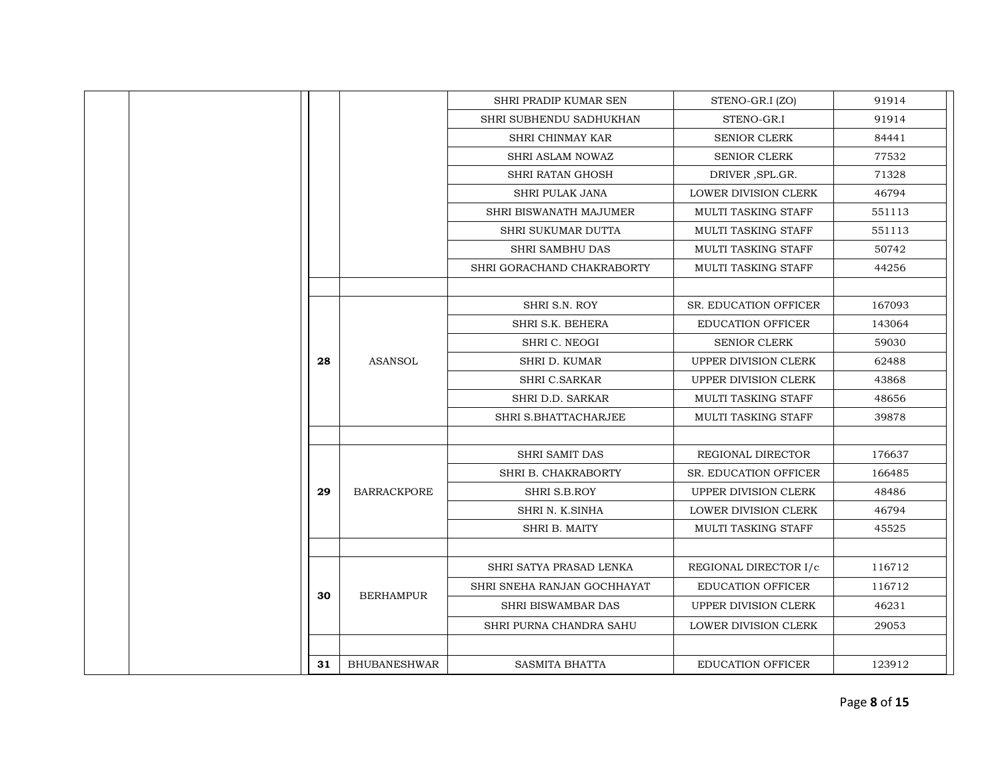|  |    |                     | SHRI PRADIP KUMAR SEN       | STENO-GR.I (ZO)              | 91914  |
|--|----|---------------------|-----------------------------|------------------------------|--------|
|  |    |                     | SHRI SUBHENDU SADHUKHAN     | STENO-GR.I                   | 91914  |
|  |    |                     | SHRI CHINMAY KAR            | <b>SENIOR CLERK</b>          | 84441  |
|  |    |                     | <b>SHRI ASLAM NOWAZ</b>     | <b>SENIOR CLERK</b>          | 77532  |
|  |    |                     | SHRI RATAN GHOSH            | DRIVER, SPL.GR.              | 71328  |
|  |    |                     | <b>SHRI PULAK JANA</b>      | LOWER DIVISION CLERK         | 46794  |
|  |    |                     | SHRI BISWANATH MAJUMER      | MULTI TASKING STAFF          | 551113 |
|  |    |                     | SHRI SUKUMAR DUTTA          | MULTI TASKING STAFF          | 551113 |
|  |    |                     | <b>SHRI SAMBHU DAS</b>      | MULTI TASKING STAFF          | 50742  |
|  |    |                     | SHRI GORACHAND CHAKRABORTY  | MULTI TASKING STAFF          | 44256  |
|  |    |                     |                             |                              |        |
|  |    |                     | SHRI S.N. ROY               | <b>SR. EDUCATION OFFICER</b> | 167093 |
|  |    |                     | SHRI S.K. BEHERA            | <b>EDUCATION OFFICER</b>     | 143064 |
|  |    |                     | SHRI C. NEOGI               | <b>SENIOR CLERK</b>          | 59030  |
|  | 28 | <b>ASANSOL</b>      | SHRI D. KUMAR               | <b>UPPER DIVISION CLERK</b>  | 62488  |
|  |    |                     | <b>SHRI C.SARKAR</b>        | UPPER DIVISION CLERK         | 43868  |
|  |    |                     | <b>SHRI D.D. SARKAR</b>     | <b>MULTI TASKING STAFF</b>   | 48656  |
|  |    |                     | SHRI S.BHATTACHARJEE        | MULTI TASKING STAFF          | 39878  |
|  |    |                     |                             |                              |        |
|  |    |                     | <b>SHRI SAMIT DAS</b>       | REGIONAL DIRECTOR            | 176637 |
|  |    |                     | SHRI B. CHAKRABORTY         | <b>SR. EDUCATION OFFICER</b> | 166485 |
|  | 29 | <b>BARRACKPORE</b>  | SHRI S.B.ROY                | UPPER DIVISION CLERK         | 48486  |
|  |    |                     | SHRI N. K.SINHA             | <b>LOWER DIVISION CLERK</b>  | 46794  |
|  |    |                     | SHRI B. MAITY               | MULTI TASKING STAFF          | 45525  |
|  |    |                     |                             |                              |        |
|  |    |                     | SHRI SATYA PRASAD LENKA     | REGIONAL DIRECTOR I/c        | 116712 |
|  | 30 | <b>BERHAMPUR</b>    | SHRI SNEHA RANJAN GOCHHAYAT | <b>EDUCATION OFFICER</b>     | 116712 |
|  |    |                     | <b>SHRI BISWAMBAR DAS</b>   | UPPER DIVISION CLERK         | 46231  |
|  |    |                     | SHRI PURNA CHANDRA SAHU     | LOWER DIVISION CLERK         | 29053  |
|  |    |                     |                             |                              |        |
|  | 31 | <b>BHUBANESHWAR</b> | <b>SASMITA BHATTA</b>       | <b>EDUCATION OFFICER</b>     | 123912 |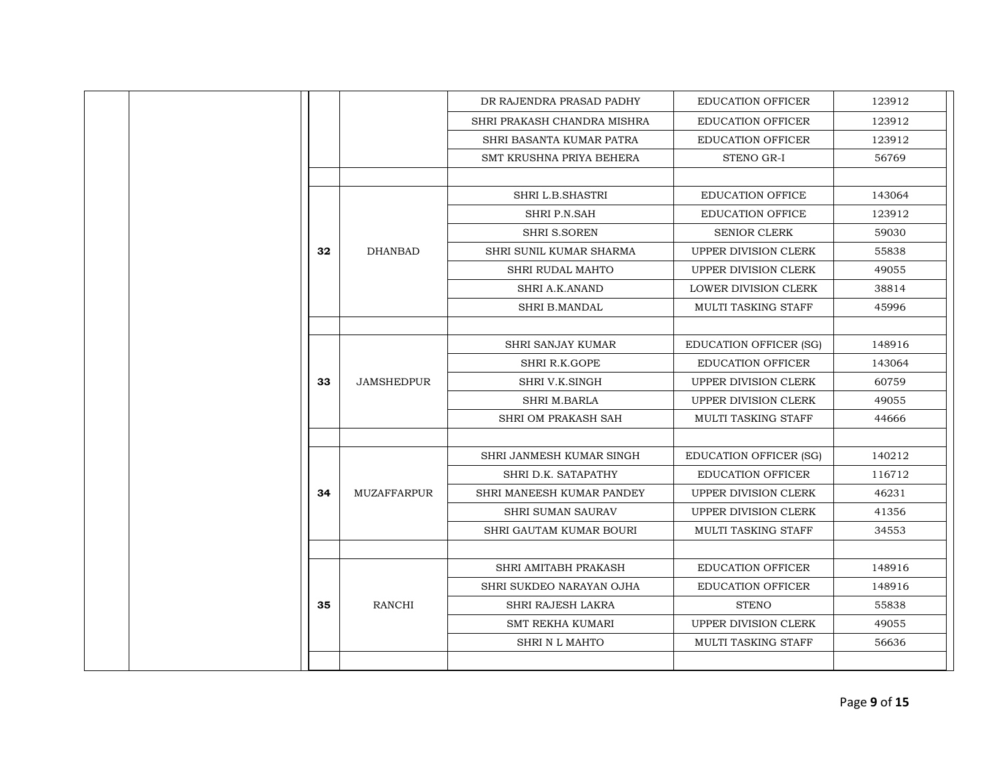|    |                    | DR RAJENDRA PRASAD PADHY    | <b>EDUCATION OFFICER</b>      | 123912 |
|----|--------------------|-----------------------------|-------------------------------|--------|
|    |                    | SHRI PRAKASH CHANDRA MISHRA | <b>EDUCATION OFFICER</b>      | 123912 |
|    |                    | SHRI BASANTA KUMAR PATRA    | <b>EDUCATION OFFICER</b>      | 123912 |
|    |                    | SMT KRUSHNA PRIYA BEHERA    | STENO GR-I                    | 56769  |
|    |                    |                             |                               |        |
|    |                    | <b>SHRI L.B.SHASTRI</b>     | <b>EDUCATION OFFICE</b>       | 143064 |
|    |                    | SHRI P.N.SAH                | <b>EDUCATION OFFICE</b>       | 123912 |
|    |                    | <b>SHRI S.SOREN</b>         | <b>SENIOR CLERK</b>           | 59030  |
| 32 | <b>DHANBAD</b>     | SHRI SUNIL KUMAR SHARMA     | UPPER DIVISION CLERK          | 55838  |
|    |                    | SHRI RUDAL MAHTO            | UPPER DIVISION CLERK          | 49055  |
|    |                    | <b>SHRI A.K.ANAND</b>       | <b>LOWER DIVISION CLERK</b>   | 38814  |
|    |                    | <b>SHRI B.MANDAL</b>        | <b>MULTI TASKING STAFF</b>    | 45996  |
|    |                    |                             |                               |        |
|    |                    | <b>SHRI SANJAY KUMAR</b>    | <b>EDUCATION OFFICER (SG)</b> | 148916 |
|    |                    | SHRI R.K.GOPE               | <b>EDUCATION OFFICER</b>      | 143064 |
| 33 | <b>JAMSHEDPUR</b>  | SHRI V.K.SINGH              | UPPER DIVISION CLERK          | 60759  |
|    |                    | <b>SHRI M.BARLA</b>         | UPPER DIVISION CLERK          | 49055  |
|    |                    | SHRI OM PRAKASH SAH         | <b>MULTI TASKING STAFF</b>    | 44666  |
|    |                    |                             |                               |        |
|    |                    | SHRI JANMESH KUMAR SINGH    | <b>EDUCATION OFFICER (SG)</b> | 140212 |
|    |                    | SHRI D.K. SATAPATHY         | <b>EDUCATION OFFICER</b>      | 116712 |
| 34 | <b>MUZAFFARPUR</b> | SHRI MANEESH KUMAR PANDEY   | UPPER DIVISION CLERK          | 46231  |
|    |                    | <b>SHRI SUMAN SAURAV</b>    | UPPER DIVISION CLERK          | 41356  |
|    |                    | SHRI GAUTAM KUMAR BOURI     | MULTI TASKING STAFF           | 34553  |
|    |                    |                             |                               |        |
|    |                    | SHRI AMITABH PRAKASH        | <b>EDUCATION OFFICER</b>      | 148916 |
|    |                    | SHRI SUKDEO NARAYAN OJHA    | <b>EDUCATION OFFICER</b>      | 148916 |
| 35 | RANCHI             | <b>SHRI RAJESH LAKRA</b>    | <b>STENO</b>                  | 55838  |
|    |                    | <b>SMT REKHA KUMARI</b>     | <b>UPPER DIVISION CLERK</b>   | 49055  |
|    |                    | <b>SHRI N L MAHTO</b>       | <b>MULTI TASKING STAFF</b>    | 56636  |
|    |                    |                             |                               |        |
|    |                    |                             |                               |        |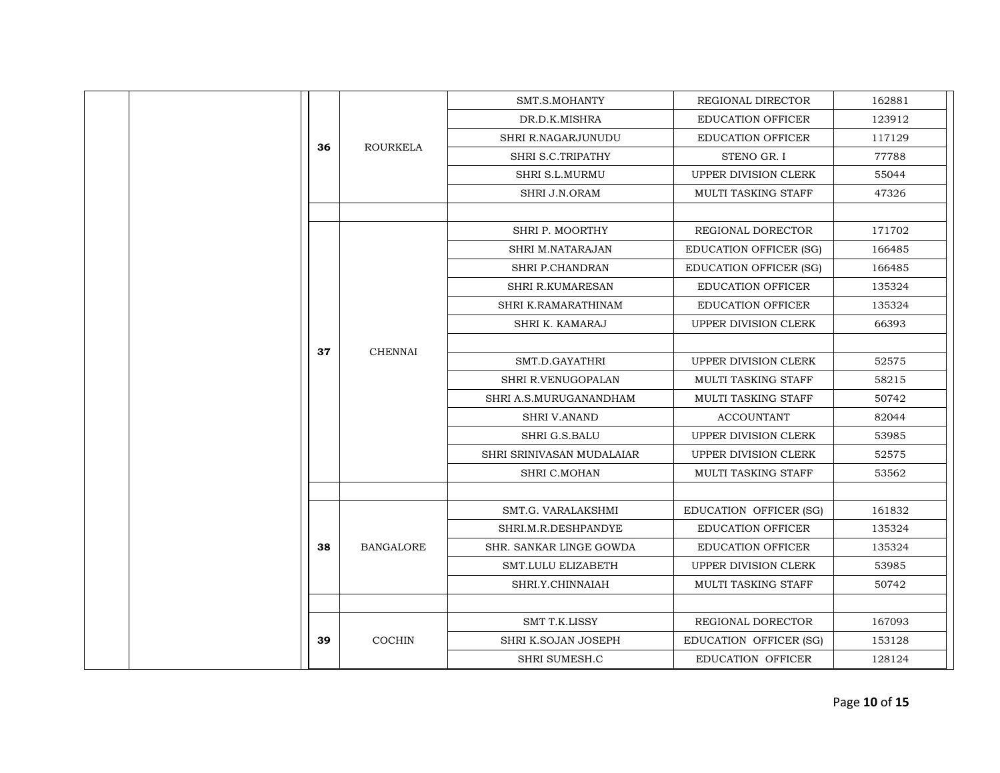|  |  |    |                  | SMT.S.MOHANTY             | REGIONAL DIRECTOR             | 162881 |
|--|--|----|------------------|---------------------------|-------------------------------|--------|
|  |  |    |                  | DR.D.K.MISHRA             | <b>EDUCATION OFFICER</b>      | 123912 |
|  |  |    |                  | SHRI R.NAGARJUNUDU        | <b>EDUCATION OFFICER</b>      | 117129 |
|  |  | 36 | <b>ROURKELA</b>  | SHRI S.C.TRIPATHY         | STENO GR. I                   | 77788  |
|  |  |    |                  | SHRI S.L.MURMU            | UPPER DIVISION CLERK          | 55044  |
|  |  |    |                  | SHRI J.N.ORAM             | MULTI TASKING STAFF           | 47326  |
|  |  |    |                  |                           |                               |        |
|  |  |    |                  | SHRI P. MOORTHY           | REGIONAL DORECTOR             | 171702 |
|  |  |    |                  | <b>SHRI M.NATARAJAN</b>   | <b>EDUCATION OFFICER (SG)</b> | 166485 |
|  |  |    |                  | SHRI P.CHANDRAN           | <b>EDUCATION OFFICER (SG)</b> | 166485 |
|  |  |    |                  | SHRI R.KUMARESAN          | <b>EDUCATION OFFICER</b>      | 135324 |
|  |  |    |                  | SHRI K.RAMARATHINAM       | <b>EDUCATION OFFICER</b>      | 135324 |
|  |  |    | <b>CHENNAI</b>   | SHRI K. KAMARAJ           | <b>UPPER DIVISION CLERK</b>   | 66393  |
|  |  | 37 |                  |                           |                               |        |
|  |  |    |                  | SMT.D.GAYATHRI            | UPPER DIVISION CLERK          | 52575  |
|  |  |    |                  | SHRI R.VENUGOPALAN        | MULTI TASKING STAFF           | 58215  |
|  |  |    |                  | SHRI A.S.MURUGANANDHAM    | MULTI TASKING STAFF           | 50742  |
|  |  |    |                  | <b>SHRI V.ANAND</b>       | <b>ACCOUNTANT</b>             | 82044  |
|  |  |    |                  | SHRI G.S.BALU             | UPPER DIVISION CLERK          | 53985  |
|  |  |    |                  | SHRI SRINIVASAN MUDALAIAR | UPPER DIVISION CLERK          | 52575  |
|  |  |    |                  | SHRI C.MOHAN              | MULTI TASKING STAFF           | 53562  |
|  |  |    |                  |                           |                               |        |
|  |  |    |                  | SMT.G. VARALAKSHMI        | EDUCATION OFFICER (SG)        | 161832 |
|  |  |    |                  | SHRI.M.R.DESHPANDYE       | <b>EDUCATION OFFICER</b>      | 135324 |
|  |  | 38 | <b>BANGALORE</b> | SHR. SANKAR LINGE GOWDA   | <b>EDUCATION OFFICER</b>      | 135324 |
|  |  |    |                  | SMT.LULU ELIZABETH        | <b>UPPER DIVISION CLERK</b>   | 53985  |
|  |  |    |                  | SHRI.Y.CHINNAIAH          | MULTI TASKING STAFF           | 50742  |
|  |  |    |                  |                           |                               |        |
|  |  |    |                  | SMT T.K.LISSY             | REGIONAL DORECTOR             | 167093 |
|  |  | 39 | <b>COCHIN</b>    | SHRI K.SOJAN JOSEPH       | EDUCATION OFFICER (SG)        | 153128 |
|  |  |    |                  | SHRI SUMESH.C             | <b>EDUCATION OFFICER</b>      | 128124 |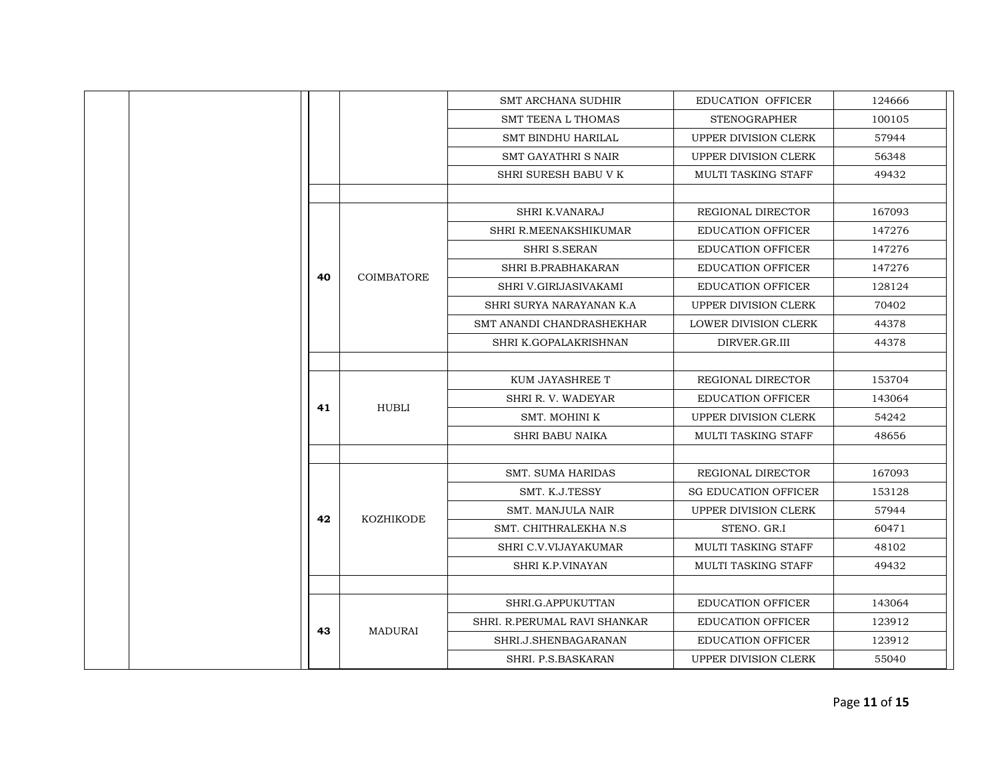| <b>EDUCATION OFFICER</b><br><b>SMT ARCHANA SUDHIR</b><br>124666<br>100105<br><b>SMT TEENA L THOMAS</b><br><b>STENOGRAPHER</b><br>57944<br><b>SMT BINDHU HARILAL</b><br>UPPER DIVISION CLERK<br>UPPER DIVISION CLERK<br>56348<br>SMT GAYATHRI S NAIR<br>SHRI SURESH BABU V K<br>49432<br>MULTI TASKING STAFF<br>SHRI K.VANARAJ<br>REGIONAL DIRECTOR<br>167093<br>SHRI R.MEENAKSHIKUMAR<br><b>EDUCATION OFFICER</b><br>147276<br><b>SHRI S.SERAN</b><br><b>EDUCATION OFFICER</b><br>147276<br>147276<br>SHRI B.PRABHAKARAN<br><b>EDUCATION OFFICER</b><br>40<br><b>COIMBATORE</b><br><b>EDUCATION OFFICER</b><br>128124<br>SHRI V.GIRIJASIVAKAMI<br>SHRI SURYA NARAYANAN K.A<br>UPPER DIVISION CLERK<br>70402<br>SMT ANANDI CHANDRASHEKHAR<br>44378<br>LOWER DIVISION CLERK<br>SHRI K.GOPALAKRISHNAN<br>DIRVER.GR.III<br>44378<br>KUM JAYASHREE T<br>REGIONAL DIRECTOR<br>153704<br>SHRI R. V. WADEYAR<br><b>EDUCATION OFFICER</b><br>143064<br>HUBLI<br>41<br>SMT. MOHINI K<br>UPPER DIVISION CLERK<br>54242<br><b>SHRI BABU NAIKA</b><br><b>MULTI TASKING STAFF</b><br>48656<br><b>SMT. SUMA HARIDAS</b><br>REGIONAL DIRECTOR<br>167093<br>SMT. K.J.TESSY<br><b>SG EDUCATION OFFICER</b><br>153128<br>UPPER DIVISION CLERK<br>57944<br><b>SMT. MANJULA NAIR</b><br>42<br><b>KOZHIKODE</b><br>SMT. CHITHRALEKHA N.S.<br>STENO. GR.I<br>60471<br>SHRI C.V.VIJAYAKUMAR<br>MULTI TASKING STAFF<br>48102<br>SHRI K.P.VINAYAN<br><b>MULTI TASKING STAFF</b><br>49432<br>SHRI.G.APPUKUTTAN<br><b>EDUCATION OFFICER</b><br>143064<br>SHRI. R.PERUMAL RAVI SHANKAR<br>123912<br><b>EDUCATION OFFICER</b><br><b>MADURAI</b><br>43<br>SHRI.J.SHENBAGARANAN<br><b>EDUCATION OFFICER</b><br>123912<br>UPPER DIVISION CLERK<br>55040<br>SHRI. P.S.BASKARAN |  |  |  |
|----------------------------------------------------------------------------------------------------------------------------------------------------------------------------------------------------------------------------------------------------------------------------------------------------------------------------------------------------------------------------------------------------------------------------------------------------------------------------------------------------------------------------------------------------------------------------------------------------------------------------------------------------------------------------------------------------------------------------------------------------------------------------------------------------------------------------------------------------------------------------------------------------------------------------------------------------------------------------------------------------------------------------------------------------------------------------------------------------------------------------------------------------------------------------------------------------------------------------------------------------------------------------------------------------------------------------------------------------------------------------------------------------------------------------------------------------------------------------------------------------------------------------------------------------------------------------------------------------------------------------------------------------------------------------------------------------------------------------------------------|--|--|--|
|                                                                                                                                                                                                                                                                                                                                                                                                                                                                                                                                                                                                                                                                                                                                                                                                                                                                                                                                                                                                                                                                                                                                                                                                                                                                                                                                                                                                                                                                                                                                                                                                                                                                                                                                              |  |  |  |
|                                                                                                                                                                                                                                                                                                                                                                                                                                                                                                                                                                                                                                                                                                                                                                                                                                                                                                                                                                                                                                                                                                                                                                                                                                                                                                                                                                                                                                                                                                                                                                                                                                                                                                                                              |  |  |  |
|                                                                                                                                                                                                                                                                                                                                                                                                                                                                                                                                                                                                                                                                                                                                                                                                                                                                                                                                                                                                                                                                                                                                                                                                                                                                                                                                                                                                                                                                                                                                                                                                                                                                                                                                              |  |  |  |
|                                                                                                                                                                                                                                                                                                                                                                                                                                                                                                                                                                                                                                                                                                                                                                                                                                                                                                                                                                                                                                                                                                                                                                                                                                                                                                                                                                                                                                                                                                                                                                                                                                                                                                                                              |  |  |  |
|                                                                                                                                                                                                                                                                                                                                                                                                                                                                                                                                                                                                                                                                                                                                                                                                                                                                                                                                                                                                                                                                                                                                                                                                                                                                                                                                                                                                                                                                                                                                                                                                                                                                                                                                              |  |  |  |
|                                                                                                                                                                                                                                                                                                                                                                                                                                                                                                                                                                                                                                                                                                                                                                                                                                                                                                                                                                                                                                                                                                                                                                                                                                                                                                                                                                                                                                                                                                                                                                                                                                                                                                                                              |  |  |  |
|                                                                                                                                                                                                                                                                                                                                                                                                                                                                                                                                                                                                                                                                                                                                                                                                                                                                                                                                                                                                                                                                                                                                                                                                                                                                                                                                                                                                                                                                                                                                                                                                                                                                                                                                              |  |  |  |
|                                                                                                                                                                                                                                                                                                                                                                                                                                                                                                                                                                                                                                                                                                                                                                                                                                                                                                                                                                                                                                                                                                                                                                                                                                                                                                                                                                                                                                                                                                                                                                                                                                                                                                                                              |  |  |  |
|                                                                                                                                                                                                                                                                                                                                                                                                                                                                                                                                                                                                                                                                                                                                                                                                                                                                                                                                                                                                                                                                                                                                                                                                                                                                                                                                                                                                                                                                                                                                                                                                                                                                                                                                              |  |  |  |
|                                                                                                                                                                                                                                                                                                                                                                                                                                                                                                                                                                                                                                                                                                                                                                                                                                                                                                                                                                                                                                                                                                                                                                                                                                                                                                                                                                                                                                                                                                                                                                                                                                                                                                                                              |  |  |  |
|                                                                                                                                                                                                                                                                                                                                                                                                                                                                                                                                                                                                                                                                                                                                                                                                                                                                                                                                                                                                                                                                                                                                                                                                                                                                                                                                                                                                                                                                                                                                                                                                                                                                                                                                              |  |  |  |
|                                                                                                                                                                                                                                                                                                                                                                                                                                                                                                                                                                                                                                                                                                                                                                                                                                                                                                                                                                                                                                                                                                                                                                                                                                                                                                                                                                                                                                                                                                                                                                                                                                                                                                                                              |  |  |  |
|                                                                                                                                                                                                                                                                                                                                                                                                                                                                                                                                                                                                                                                                                                                                                                                                                                                                                                                                                                                                                                                                                                                                                                                                                                                                                                                                                                                                                                                                                                                                                                                                                                                                                                                                              |  |  |  |
|                                                                                                                                                                                                                                                                                                                                                                                                                                                                                                                                                                                                                                                                                                                                                                                                                                                                                                                                                                                                                                                                                                                                                                                                                                                                                                                                                                                                                                                                                                                                                                                                                                                                                                                                              |  |  |  |
|                                                                                                                                                                                                                                                                                                                                                                                                                                                                                                                                                                                                                                                                                                                                                                                                                                                                                                                                                                                                                                                                                                                                                                                                                                                                                                                                                                                                                                                                                                                                                                                                                                                                                                                                              |  |  |  |
|                                                                                                                                                                                                                                                                                                                                                                                                                                                                                                                                                                                                                                                                                                                                                                                                                                                                                                                                                                                                                                                                                                                                                                                                                                                                                                                                                                                                                                                                                                                                                                                                                                                                                                                                              |  |  |  |
|                                                                                                                                                                                                                                                                                                                                                                                                                                                                                                                                                                                                                                                                                                                                                                                                                                                                                                                                                                                                                                                                                                                                                                                                                                                                                                                                                                                                                                                                                                                                                                                                                                                                                                                                              |  |  |  |
|                                                                                                                                                                                                                                                                                                                                                                                                                                                                                                                                                                                                                                                                                                                                                                                                                                                                                                                                                                                                                                                                                                                                                                                                                                                                                                                                                                                                                                                                                                                                                                                                                                                                                                                                              |  |  |  |
|                                                                                                                                                                                                                                                                                                                                                                                                                                                                                                                                                                                                                                                                                                                                                                                                                                                                                                                                                                                                                                                                                                                                                                                                                                                                                                                                                                                                                                                                                                                                                                                                                                                                                                                                              |  |  |  |
|                                                                                                                                                                                                                                                                                                                                                                                                                                                                                                                                                                                                                                                                                                                                                                                                                                                                                                                                                                                                                                                                                                                                                                                                                                                                                                                                                                                                                                                                                                                                                                                                                                                                                                                                              |  |  |  |
|                                                                                                                                                                                                                                                                                                                                                                                                                                                                                                                                                                                                                                                                                                                                                                                                                                                                                                                                                                                                                                                                                                                                                                                                                                                                                                                                                                                                                                                                                                                                                                                                                                                                                                                                              |  |  |  |
|                                                                                                                                                                                                                                                                                                                                                                                                                                                                                                                                                                                                                                                                                                                                                                                                                                                                                                                                                                                                                                                                                                                                                                                                                                                                                                                                                                                                                                                                                                                                                                                                                                                                                                                                              |  |  |  |
|                                                                                                                                                                                                                                                                                                                                                                                                                                                                                                                                                                                                                                                                                                                                                                                                                                                                                                                                                                                                                                                                                                                                                                                                                                                                                                                                                                                                                                                                                                                                                                                                                                                                                                                                              |  |  |  |
|                                                                                                                                                                                                                                                                                                                                                                                                                                                                                                                                                                                                                                                                                                                                                                                                                                                                                                                                                                                                                                                                                                                                                                                                                                                                                                                                                                                                                                                                                                                                                                                                                                                                                                                                              |  |  |  |
|                                                                                                                                                                                                                                                                                                                                                                                                                                                                                                                                                                                                                                                                                                                                                                                                                                                                                                                                                                                                                                                                                                                                                                                                                                                                                                                                                                                                                                                                                                                                                                                                                                                                                                                                              |  |  |  |
|                                                                                                                                                                                                                                                                                                                                                                                                                                                                                                                                                                                                                                                                                                                                                                                                                                                                                                                                                                                                                                                                                                                                                                                                                                                                                                                                                                                                                                                                                                                                                                                                                                                                                                                                              |  |  |  |
|                                                                                                                                                                                                                                                                                                                                                                                                                                                                                                                                                                                                                                                                                                                                                                                                                                                                                                                                                                                                                                                                                                                                                                                                                                                                                                                                                                                                                                                                                                                                                                                                                                                                                                                                              |  |  |  |
|                                                                                                                                                                                                                                                                                                                                                                                                                                                                                                                                                                                                                                                                                                                                                                                                                                                                                                                                                                                                                                                                                                                                                                                                                                                                                                                                                                                                                                                                                                                                                                                                                                                                                                                                              |  |  |  |
|                                                                                                                                                                                                                                                                                                                                                                                                                                                                                                                                                                                                                                                                                                                                                                                                                                                                                                                                                                                                                                                                                                                                                                                                                                                                                                                                                                                                                                                                                                                                                                                                                                                                                                                                              |  |  |  |
|                                                                                                                                                                                                                                                                                                                                                                                                                                                                                                                                                                                                                                                                                                                                                                                                                                                                                                                                                                                                                                                                                                                                                                                                                                                                                                                                                                                                                                                                                                                                                                                                                                                                                                                                              |  |  |  |
|                                                                                                                                                                                                                                                                                                                                                                                                                                                                                                                                                                                                                                                                                                                                                                                                                                                                                                                                                                                                                                                                                                                                                                                                                                                                                                                                                                                                                                                                                                                                                                                                                                                                                                                                              |  |  |  |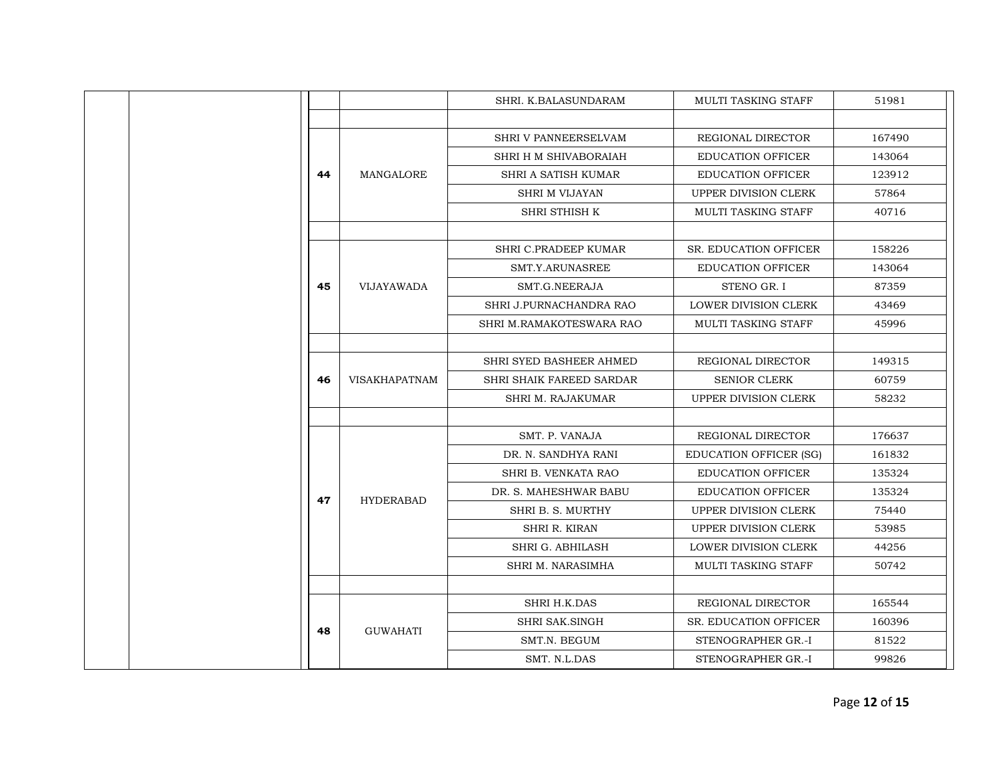|  |  |    |                      | SHRI. K.BALASUNDARAM       | <b>MULTI TASKING STAFF</b>    | 51981  |
|--|--|----|----------------------|----------------------------|-------------------------------|--------|
|  |  |    |                      |                            |                               |        |
|  |  |    |                      | SHRI V PANNEERSELVAM       | REGIONAL DIRECTOR             | 167490 |
|  |  |    |                      | SHRI H M SHIVABORAIAH      | <b>EDUCATION OFFICER</b>      | 143064 |
|  |  | 44 | MANGALORE            | SHRI A SATISH KUMAR        | <b>EDUCATION OFFICER</b>      | 123912 |
|  |  |    |                      | <b>SHRI M VIJAYAN</b>      | UPPER DIVISION CLERK          | 57864  |
|  |  |    |                      | SHRI STHISH K              | MULTI TASKING STAFF           | 40716  |
|  |  |    |                      |                            |                               |        |
|  |  |    |                      | SHRI C.PRADEEP KUMAR       | <b>SR. EDUCATION OFFICER</b>  | 158226 |
|  |  |    |                      | SMT.Y.ARUNASREE            | <b>EDUCATION OFFICER</b>      | 143064 |
|  |  | 45 | <b>VIJAYAWADA</b>    | SMT.G.NEERAJA              | STENO GR. I                   | 87359  |
|  |  |    |                      | SHRI J.PURNACHANDRA RAO    | LOWER DIVISION CLERK          | 43469  |
|  |  |    |                      | SHRI M.RAMAKOTESWARA RAO   | MULTI TASKING STAFF           | 45996  |
|  |  |    |                      |                            |                               |        |
|  |  |    | <b>VISAKHAPATNAM</b> | SHRI SYED BASHEER AHMED    | REGIONAL DIRECTOR             | 149315 |
|  |  | 46 |                      | SHRI SHAIK FAREED SARDAR   | <b>SENIOR CLERK</b>           | 60759  |
|  |  |    |                      | <b>SHRI M. RAJAKUMAR</b>   | <b>UPPER DIVISION CLERK</b>   | 58232  |
|  |  |    |                      |                            |                               |        |
|  |  |    |                      | SMT. P. VANAJA             | REGIONAL DIRECTOR             | 176637 |
|  |  |    |                      | DR. N. SANDHYA RANI        | <b>EDUCATION OFFICER (SG)</b> | 161832 |
|  |  |    |                      | <b>SHRI B. VENKATA RAO</b> | <b>EDUCATION OFFICER</b>      | 135324 |
|  |  | 47 | <b>HYDERABAD</b>     | DR. S. MAHESHWAR BABU      | <b>EDUCATION OFFICER</b>      | 135324 |
|  |  |    |                      | SHRI B. S. MURTHY          | UPPER DIVISION CLERK          | 75440  |
|  |  |    |                      | SHRI R. KIRAN              | UPPER DIVISION CLERK          | 53985  |
|  |  |    |                      | SHRI G. ABHILASH           | LOWER DIVISION CLERK          | 44256  |
|  |  |    |                      | SHRI M. NARASIMHA          | MULTI TASKING STAFF           | 50742  |
|  |  |    |                      |                            |                               |        |
|  |  |    |                      | SHRI H.K.DAS               | REGIONAL DIRECTOR             | 165544 |
|  |  | 48 | <b>GUWAHATI</b>      | <b>SHRI SAK.SINGH</b>      | <b>SR. EDUCATION OFFICER</b>  | 160396 |
|  |  |    |                      | SMT.N. BEGUM               | STENOGRAPHER GR.-I            | 81522  |
|  |  |    |                      | SMT. N.L.DAS               | STENOGRAPHER GR.-I            | 99826  |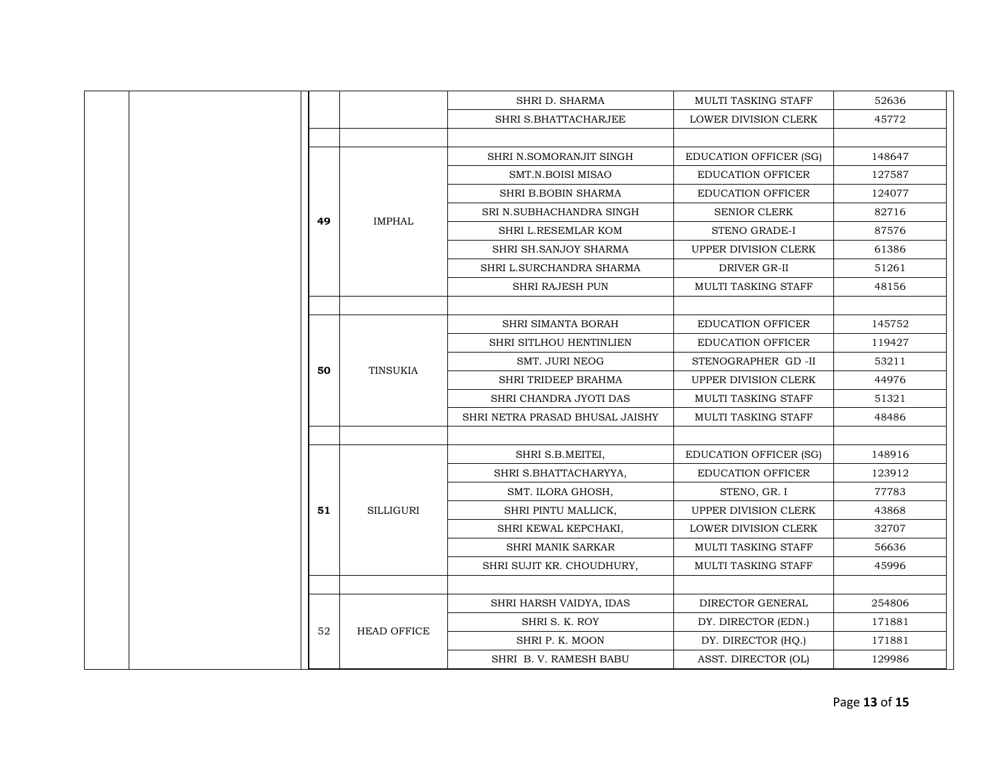|    |                     | SHRI D. SHARMA                  | MULTI TASKING STAFF           | 52636  |
|----|---------------------|---------------------------------|-------------------------------|--------|
|    |                     | SHRI S.BHATTACHARJEE            | LOWER DIVISION CLERK          | 45772  |
|    |                     |                                 |                               |        |
|    |                     | SHRI N.SOMORANJIT SINGH         | <b>EDUCATION OFFICER (SG)</b> | 148647 |
|    | <b>IMPHAL</b><br>49 | SMT.N.BOISI MISAO               | <b>EDUCATION OFFICER</b>      | 127587 |
|    |                     | SHRI B.BOBIN SHARMA             | <b>EDUCATION OFFICER</b>      | 124077 |
|    |                     | SRI N.SUBHACHANDRA SINGH        | SENIOR CLERK                  | 82716  |
|    |                     | SHRI L.RESEMLAR KOM             | STENO GRADE-I                 | 87576  |
|    |                     | SHRI SH.SANJOY SHARMA           | UPPER DIVISION CLERK          | 61386  |
|    |                     | SHRI L.SURCHANDRA SHARMA        | DRIVER GR-II                  | 51261  |
|    |                     | SHRI RAJESH PUN                 | MULTI TASKING STAFF           | 48156  |
|    |                     |                                 |                               |        |
|    | TINSUKIA            | <b>SHRI SIMANTA BORAH</b>       | <b>EDUCATION OFFICER</b>      | 145752 |
|    |                     | SHRI SITLHOU HENTINLIEN         | <b>EDUCATION OFFICER</b>      | 119427 |
| 50 |                     | <b>SMT. JURI NEOG</b>           | STENOGRAPHER GD-II            | 53211  |
|    |                     | SHRI TRIDEEP BRAHMA             | UPPER DIVISION CLERK          | 44976  |
|    |                     | SHRI CHANDRA JYOTI DAS          | MULTI TASKING STAFF           | 51321  |
|    |                     | SHRI NETRA PRASAD BHUSAL JAISHY | MULTI TASKING STAFF           | 48486  |
|    |                     |                                 |                               |        |
|    |                     | SHRI S.B.MEITEI,                | <b>EDUCATION OFFICER (SG)</b> | 148916 |
|    |                     | SHRI S.BHATTACHARYYA,           | <b>EDUCATION OFFICER</b>      | 123912 |
|    |                     | SMT. ILORA GHOSH,               | STENO, GR. I                  | 77783  |
| 51 | <b>SILLIGURI</b>    | SHRI PINTU MALLICK,             | UPPER DIVISION CLERK          | 43868  |
|    |                     | SHRI KEWAL KEPCHAKI,            | LOWER DIVISION CLERK          | 32707  |
|    |                     | <b>SHRI MANIK SARKAR</b>        | MULTI TASKING STAFF           | 56636  |
|    |                     | SHRI SUJIT KR. CHOUDHURY,       | MULTI TASKING STAFF           | 45996  |
|    |                     |                                 |                               |        |
|    | <b>HEAD OFFICE</b>  | SHRI HARSH VAIDYA, IDAS         | DIRECTOR GENERAL              | 254806 |
| 52 |                     | SHRI S. K. ROY                  | DY. DIRECTOR (EDN.)           | 171881 |
|    |                     | SHRI P. K. MOON                 | DY. DIRECTOR (HQ.)            | 171881 |
|    |                     | SHRI B. V. RAMESH BABU          | ASST. DIRECTOR (OL)           | 129986 |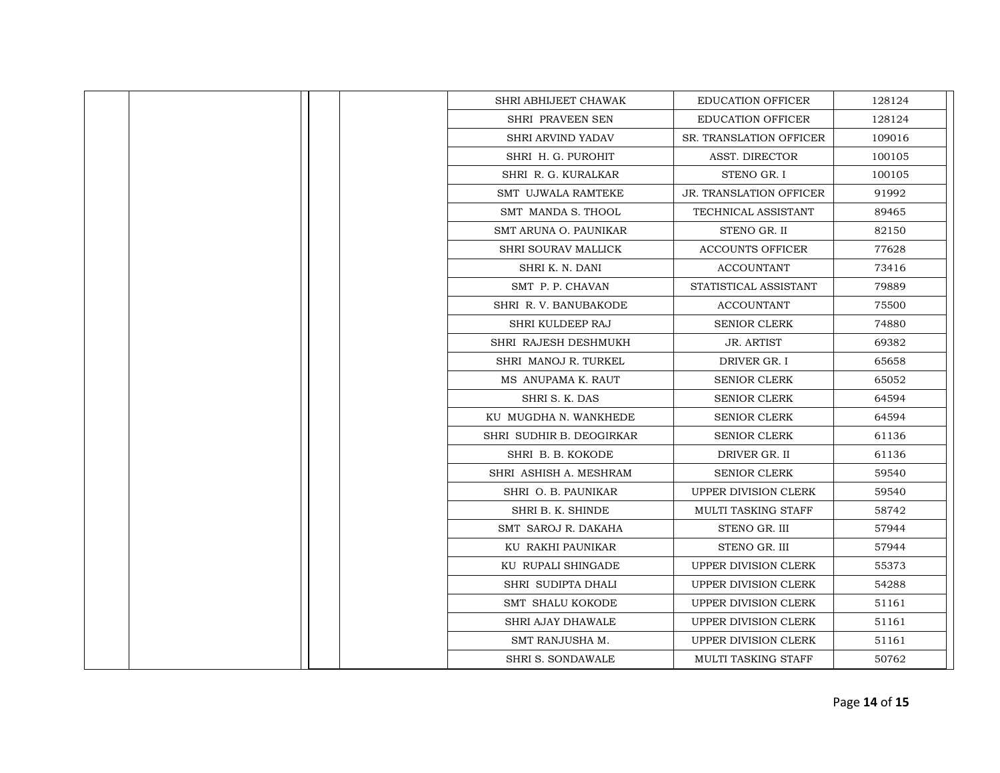|  | SHRI ABHIJEET CHAWAK     | <b>EDUCATION OFFICER</b>       | 128124 |
|--|--------------------------|--------------------------------|--------|
|  | SHRI PRAVEEN SEN         | <b>EDUCATION OFFICER</b>       | 128124 |
|  | <b>SHRI ARVIND YADAV</b> | <b>SR. TRANSLATION OFFICER</b> | 109016 |
|  | SHRI H. G. PUROHIT       | ASST. DIRECTOR                 | 100105 |
|  | SHRI R. G. KURALKAR      | STENO GR. I                    | 100105 |
|  | SMT UJWALA RAMTEKE       | <b>JR. TRANSLATION OFFICER</b> | 91992  |
|  | SMT MANDA S. THOOL       | TECHNICAL ASSISTANT            | 89465  |
|  | SMT ARUNA O. PAUNIKAR    | STENO GR. II                   | 82150  |
|  | SHRI SOURAV MALLICK      | <b>ACCOUNTS OFFICER</b>        | 77628  |
|  | SHRI K. N. DANI          | <b>ACCOUNTANT</b>              | 73416  |
|  | SMT P. P. CHAVAN         | STATISTICAL ASSISTANT          | 79889  |
|  | SHRI R. V. BANUBAKODE    | <b>ACCOUNTANT</b>              | 75500  |
|  | SHRI KULDEEP RAJ         | <b>SENIOR CLERK</b>            | 74880  |
|  | SHRI RAJESH DESHMUKH     | <b>JR. ARTIST</b>              | 69382  |
|  | SHRI MANOJ R. TURKEL     | DRIVER GR. I                   | 65658  |
|  | MS ANUPAMA K. RAUT       | <b>SENIOR CLERK</b>            | 65052  |
|  | SHRI S. K. DAS           | <b>SENIOR CLERK</b>            | 64594  |
|  | KU MUGDHA N. WANKHEDE    | <b>SENIOR CLERK</b>            | 64594  |
|  | SHRI SUDHIR B. DEOGIRKAR | <b>SENIOR CLERK</b>            | 61136  |
|  | SHRI B. B. KOKODE        | DRIVER GR. II                  | 61136  |
|  | SHRI ASHISH A. MESHRAM   | <b>SENIOR CLERK</b>            | 59540  |
|  | SHRI O. B. PAUNIKAR      | UPPER DIVISION CLERK           | 59540  |
|  | SHRI B. K. SHINDE        | <b>MULTI TASKING STAFF</b>     | 58742  |
|  | SMT SAROJ R. DAKAHA      | STENO GR. III                  | 57944  |
|  | KU RAKHI PAUNIKAR        | STENO GR. III                  | 57944  |
|  | KU RUPALI SHINGADE       | <b>UPPER DIVISION CLERK</b>    | 55373  |
|  | SHRI SUDIPTA DHALI       | UPPER DIVISION CLERK           | 54288  |
|  | <b>SMT SHALU KOKODE</b>  | UPPER DIVISION CLERK           | 51161  |
|  | <b>SHRI AJAY DHAWALE</b> | UPPER DIVISION CLERK           | 51161  |
|  | SMT RANJUSHA M.          | <b>UPPER DIVISION CLERK</b>    | 51161  |
|  | <b>SHRI S. SONDAWALE</b> | <b>MULTI TASKING STAFF</b>     | 50762  |